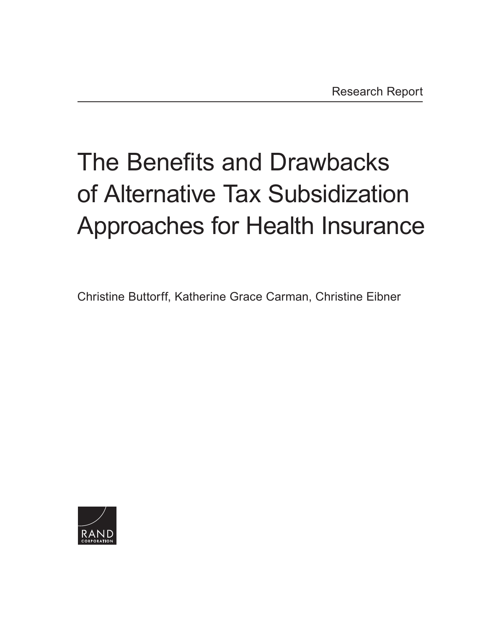# The Benefits and Drawbacks of Alternative Tax Subsidization [Approaches for Health Insurance](https://www.rand.org/pubs/research_reports/RR1961.html)

Christine Buttorff, Katherine Grace Carman, Christine Eibner

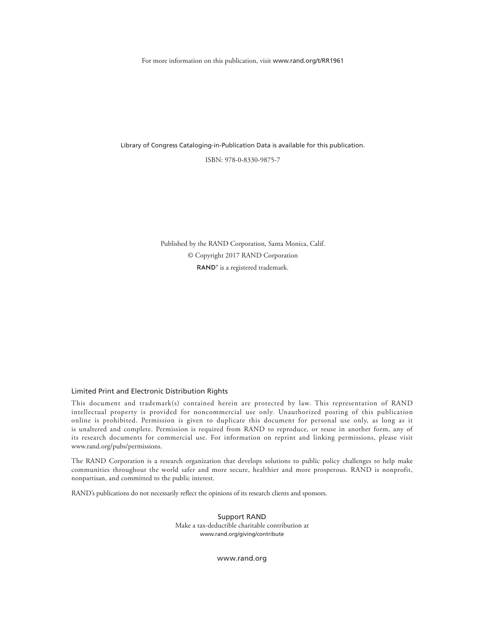For more information on this publication, visit [www.rand.org/t/RR1961](http://www.rand.org/t/RR1961)

Library of Congress Cataloging-in-Publication Data is available for this publication.

ISBN: 978-0-8330-9875-7

Published by the RAND Corporation, Santa Monica, Calif. © Copyright 2017 RAND Corporation RAND<sup>®</sup> is a registered trademark.

#### Limited Print and Electronic Distribution Rights

This document and trademark(s) contained herein are protected by law. This representation of RAND intellectual property is provided for noncommercial use only. Unauthorized posting of this publication online is prohibited. Permission is given to duplicate this document for personal use only, as long as it is unaltered and complete. Permission is required from RAND to reproduce, or reuse in another form, any of its research documents for commercial use. For information on reprint and linking permissions, please visit [www.rand.org/pubs/permissions.](http://www.rand.org/pubs/permissions)

The RAND Corporation is a research organization that develops solutions to public policy challenges to help make communities throughout the world safer and more secure, healthier and more prosperous. RAND is nonprofit, nonpartisan, and committed to the public interest.

RAND's publications do not necessarily reflect the opinions of its research clients and sponsors.

Support RAND Make a tax-deductible charitable contribution at [www.rand.org/giving/contribute](http://www.rand.org/giving/contribute)

[www.rand.org](http://www.rand.org)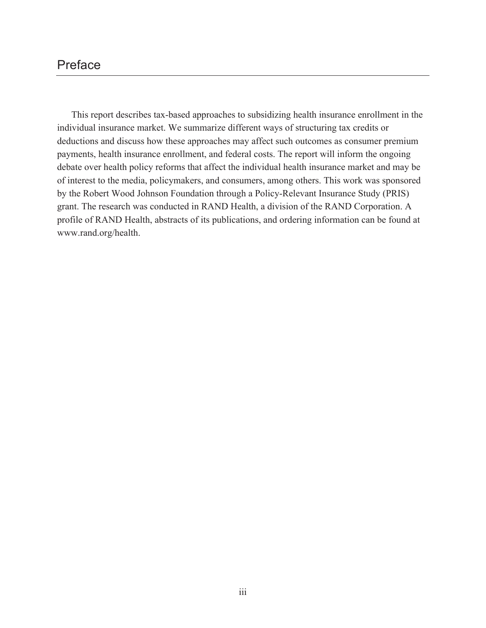# Preface

This report describes tax-based approaches to subsidizing health insurance enrollment in the individual insurance market. We summarize different ways of structuring tax credits or deductions and discuss how these approaches may affect such outcomes as consumer premium payments, health insurance enrollment, and federal costs. The report will inform the ongoing debate over health policy reforms that affect the individual health insurance market and may be of interest to the media, policymakers, and consumers, among others. This work was sponsored by the Robert Wood Johnson Foundation through a Policy-Relevant Insurance Study (PRIS) grant. The research was conducted in RAND Health, a division of the RAND Corporation. A profile of RAND Health, abstracts of its publications, and ordering information can be found at [www.rand.org/health.](http://www.rand.org/health)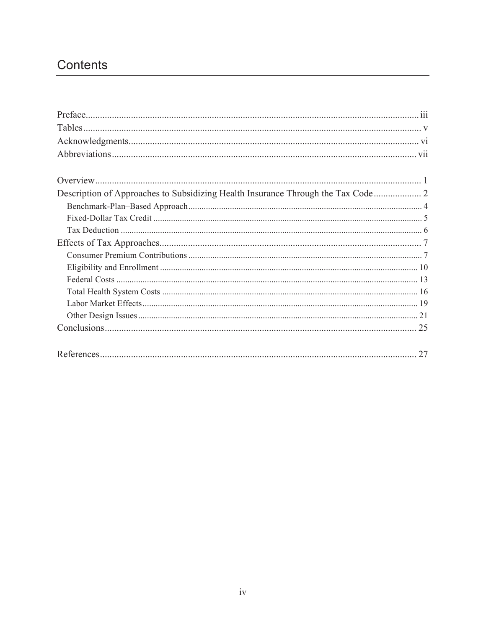# Contents

| 27 |
|----|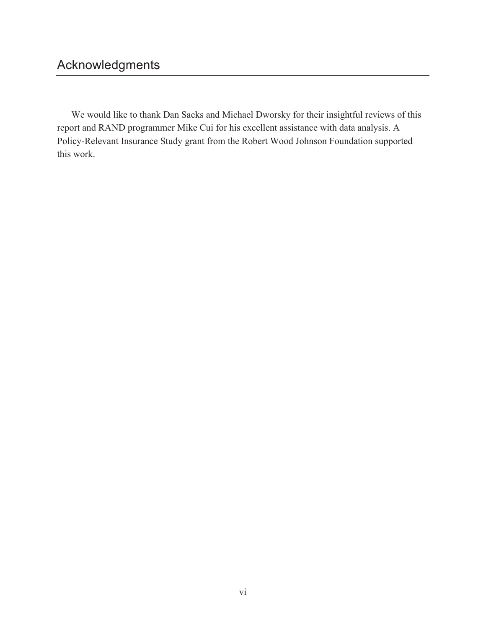We would like to thank Dan Sacks and Michael Dworsky for their insightful reviews of this report and RAND programmer Mike Cui for his excellent assistance with data analysis. A Policy-Relevant Insurance Study grant from the Robert Wood Johnson Foundation supported this work.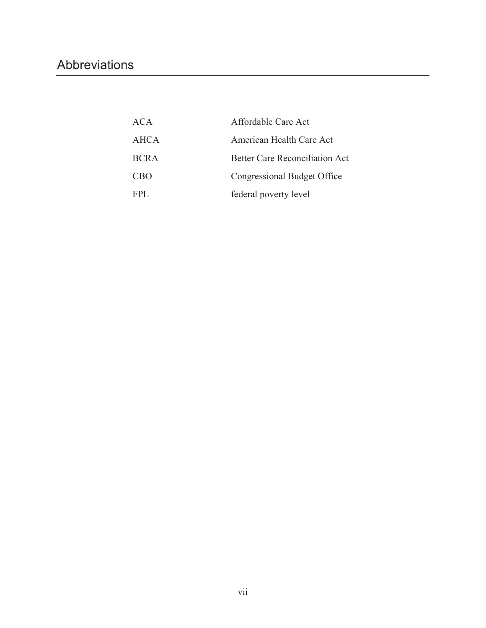# Abbreviations

| ACA         | Affordable Care Act                   |
|-------------|---------------------------------------|
| <b>AHCA</b> | American Health Care Act              |
| <b>BCRA</b> | <b>Better Care Reconciliation Act</b> |
| <b>CBO</b>  | Congressional Budget Office           |
| FPL.        | federal poverty level                 |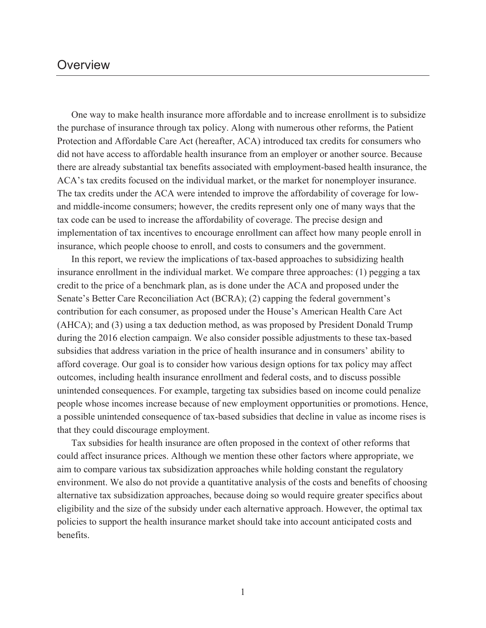# **Overview**

One way to make health insurance more affordable and to increase enrollment is to subsidize the purchase of insurance through tax policy. Along with numerous other reforms, the Patient Protection and Affordable Care Act (hereafter, ACA) introduced tax credits for consumers who did not have access to affordable health insurance from an employer or another source. Because there are already substantial tax benefits associated with employment-based health insurance, the ACA's tax credits focused on the individual market, or the market for nonemployer insurance. The tax credits under the ACA were intended to improve the affordability of coverage for lowand middle-income consumers; however, the credits represent only one of many ways that the tax code can be used to increase the affordability of coverage. The precise design and implementation of tax incentives to encourage enrollment can affect how many people enroll in insurance, which people choose to enroll, and costs to consumers and the government.

In this report, we review the implications of tax-based approaches to subsidizing health insurance enrollment in the individual market. We compare three approaches: (1) pegging a tax credit to the price of a benchmark plan, as is done under the ACA and proposed under the Senate's Better Care Reconciliation Act (BCRA); (2) capping the federal government's contribution for each consumer, as proposed under the House's American Health Care Act (AHCA); and (3) using a tax deduction method, as was proposed by President Donald Trump during the 2016 election campaign. We also consider possible adjustments to these tax-based subsidies that address variation in the price of health insurance and in consumers' ability to afford coverage. Our goal is to consider how various design options for tax policy may affect outcomes, including health insurance enrollment and federal costs, and to discuss possible unintended consequences. For example, targeting tax subsidies based on income could penalize people whose incomes increase because of new employment opportunities or promotions. Hence, a possible unintended consequence of tax-based subsidies that decline in value as income rises is that they could discourage employment.

Tax subsidies for health insurance are often proposed in the context of other reforms that could affect insurance prices. Although we mention these other factors where appropriate, we aim to compare various tax subsidization approaches while holding constant the regulatory environment. We also do not provide a quantitative analysis of the costs and benefits of choosing alternative tax subsidization approaches, because doing so would require greater specifics about eligibility and the size of the subsidy under each alternative approach. However, the optimal tax policies to support the health insurance market should take into account anticipated costs and benefits.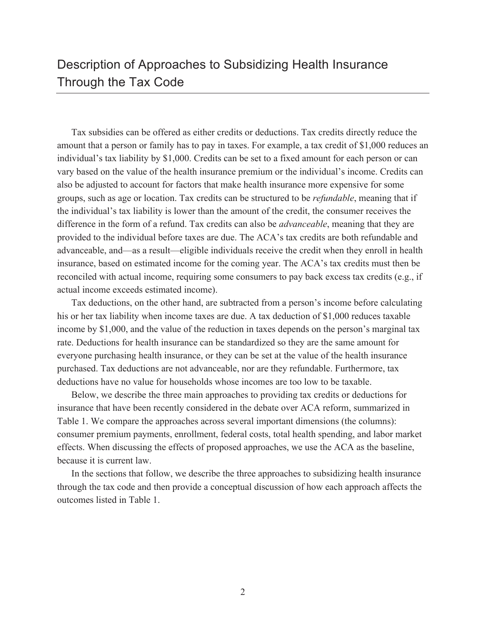# Description of Approaches to Subsidizing Health Insurance Through the Tax Code

Tax subsidies can be offered as either credits or deductions. Tax credits directly reduce the amount that a person or family has to pay in taxes. For example, a tax credit of \$1,000 reduces an individual's tax liability by \$1,000. Credits can be set to a fixed amount for each person or can vary based on the value of the health insurance premium or the individual's income. Credits can also be adjusted to account for factors that make health insurance more expensive for some groups, such as age or location. Tax credits can be structured to be *refundable*, meaning that if the individual's tax liability is lower than the amount of the credit, the consumer receives the difference in the form of a refund. Tax credits can also be *advanceable*, meaning that they are provided to the individual before taxes are due. The ACA's tax credits are both refundable and advanceable, and—as a result—eligible individuals receive the credit when they enroll in health insurance, based on estimated income for the coming year. The ACA's tax credits must then be reconciled with actual income, requiring some consumers to pay back excess tax credits (e.g., if actual income exceeds estimated income).

Tax deductions, on the other hand, are subtracted from a person's income before calculating his or her tax liability when income taxes are due. A tax deduction of \$1,000 reduces taxable income by \$1,000, and the value of the reduction in taxes depends on the person's marginal tax rate. Deductions for health insurance can be standardized so they are the same amount for everyone purchasing health insurance, or they can be set at the value of the health insurance purchased. Tax deductions are not advanceable, nor are they refundable. Furthermore, tax deductions have no value for households whose incomes are too low to be taxable.

Below, we describe the three main approaches to providing tax credits or deductions for insurance that have been recently considered in the debate over ACA reform, summarized in Table 1. We compare the approaches across several important dimensions (the columns): consumer premium payments, enrollment, federal costs, total health spending, and labor market effects. When discussing the effects of proposed approaches, we use the ACA as the baseline, because it is current law.

In the sections that follow, we describe the three approaches to subsidizing health insurance through the tax code and then provide a conceptual discussion of how each approach affects the outcomes listed in Table 1.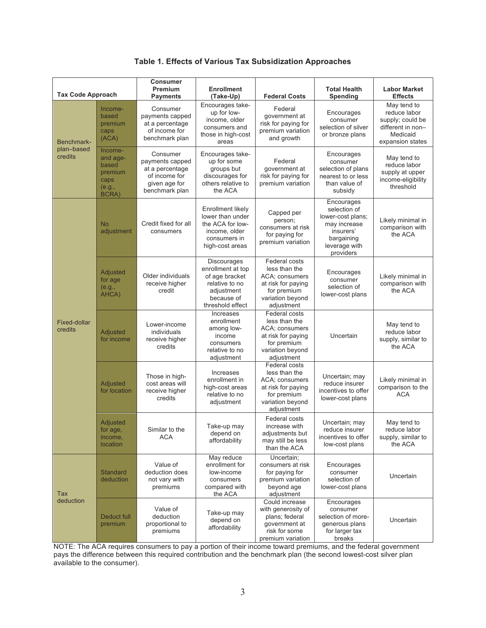|  | Table 1. Effects of Various Tax Subsidization Approaches |
|--|----------------------------------------------------------|
|--|----------------------------------------------------------|

|                                     |                                                                    | <b>Consumer</b><br>Premium                                                                         | <b>Enrollment</b>                                                                                                    |                                                                                                                                | <b>Total Health</b>                                                                                                      | <b>Labor Market</b>                                                                                  |
|-------------------------------------|--------------------------------------------------------------------|----------------------------------------------------------------------------------------------------|----------------------------------------------------------------------------------------------------------------------|--------------------------------------------------------------------------------------------------------------------------------|--------------------------------------------------------------------------------------------------------------------------|------------------------------------------------------------------------------------------------------|
| <b>Tax Code Approach</b>            |                                                                    | <b>Payments</b>                                                                                    | (Take-Up)                                                                                                            | <b>Federal Costs</b>                                                                                                           | Spending                                                                                                                 | <b>Effects</b>                                                                                       |
| Benchmark-<br>plan-based<br>credits | Income-<br>based<br>premium<br>caps<br>(ACA)                       | Consumer<br>payments capped<br>at a percentage<br>of income for<br>benchmark plan                  | Encourages take-<br>up for low-<br>income, older<br>consumers and<br>those in high-cost<br>areas                     | Federal<br>government at<br>risk for paying for<br>premium variation<br>and growth                                             | Encourages<br>consumer<br>selection of silver<br>or bronze plans                                                         | May tend to<br>reduce labor<br>supply; could be<br>different in non-<br>Medicaid<br>expansion states |
|                                     | Income-<br>and age-<br>based<br>premium<br>caps<br>(e.g.,<br>BCRA) | Consumer<br>payments capped<br>at a percentage<br>of income for<br>given age for<br>benchmark plan | Encourages take-<br>up for some<br>groups but<br>discourages for<br>others relative to<br>the ACA                    | Federal<br>government at<br>risk for paying for<br>premium variation                                                           | Encourages<br>consumer<br>selection of plans<br>nearest to or less<br>than value of<br>subsidy                           | May tend to<br>reduce labor<br>supply at upper<br>income-eligibility<br>threshold                    |
| <b>Fixed-dollar</b><br>credits      | <b>No</b><br>adjustment                                            | Credit fixed for all<br>consumers                                                                  | Enrollment likely<br>lower than under<br>the ACA for low-<br>income, older<br>consumers in<br>high-cost areas        | Capped per<br>person;<br>consumers at risk<br>for paying for<br>premium variation                                              | Encourages<br>selection of<br>lower-cost plans;<br>may increase<br>insurers'<br>bargaining<br>leverage with<br>providers | Likely minimal in<br>comparison with<br>the ACA                                                      |
|                                     | Adjusted<br>for age<br>(e.g.,<br>AHCA)                             | Older individuals<br>receive higher<br>credit                                                      | Discourages<br>enrollment at top<br>of age bracket<br>relative to no<br>adjustment<br>because of<br>threshold effect | Federal costs<br>less than the<br><b>ACA: consumers</b><br>at risk for paying<br>for premium<br>variation beyond<br>adjustment | Encourages<br>consumer<br>selection of<br>lower-cost plans                                                               | Likely minimal in<br>comparison with<br>the ACA                                                      |
|                                     | Adjusted<br>for income                                             | Lower-income<br>individuals<br>receive higher<br>credits                                           | Increases<br>enrollment<br>among low-<br>income<br>consumers<br>relative to no<br>adjustment                         | Federal costs<br>less than the<br>ACA; consumers<br>at risk for paying<br>for premium<br>variation beyond<br>adjustment        | Uncertain                                                                                                                | May tend to<br>reduce labor<br>supply, similar to<br>the ACA                                         |
|                                     | Adjusted<br>for location                                           | Those in high-<br>cost areas will<br>receive higher<br>credits                                     | Increases<br>enrollment in<br>high-cost areas<br>relative to no<br>adjustment                                        | <b>Federal costs</b><br>less than the<br>ACA; consumers<br>at risk for paying<br>for premium<br>variation beyond<br>adjustment | Uncertain; may<br>reduce insurer<br>incentives to offer<br>lower-cost plans                                              | Likely minimal in<br>comparison to the<br><b>ACA</b>                                                 |
|                                     | Adjusted<br>for age,<br>income,<br>location                        | Similar to the<br><b>ACA</b>                                                                       | Take-up may<br>depend on<br>affordability                                                                            | Federal costs<br>increase with<br>adjustments but<br>may still be less<br>than the ACA                                         | Uncertain; may<br>reduce insurer<br>incentives to offer<br>low-cost plans                                                | May tend to<br>reduce labor<br>supply, similar to<br>the ACA                                         |
| Tax<br>deduction                    | <b>Standard</b><br>deduction                                       | Value of<br>deduction does<br>not vary with<br>premiums                                            | May reduce<br>enrollment for<br>low-income<br>consumers<br>compared with<br>the ACA                                  | Uncertain;<br>consumers at risk<br>for paying for<br>premium variation<br>beyond age<br>adjustment                             | Encourages<br>consumer<br>selection of<br>lower-cost plans                                                               | Uncertain                                                                                            |
|                                     | Deduct full<br>premium                                             | Value of<br>deduction<br>proportional to<br>premiums                                               | Take-up may<br>depend on<br>affordability                                                                            | Could increase<br>with generosity of<br>plans; federal<br>government at<br>risk for some<br>premium variation                  | Encourages<br>consumer<br>selection of more-<br>generous plans<br>for larger tax<br>breaks                               | Uncertain                                                                                            |

NOTE: The ACA requires consumers to pay a portion of their income toward premiums, and the federal government pays the difference between this required contribution and the benchmark plan (the second lowest-cost silver plan available to the consumer).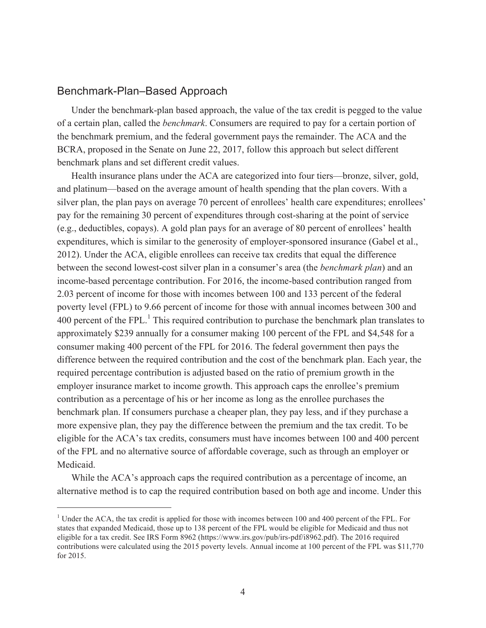# Benchmark-Plan–Based Approach

 $\overline{a}$ 

Under the benchmark-plan based approach, the value of the tax credit is pegged to the value of a certain plan, called the *benchmark*. Consumers are required to pay for a certain portion of the benchmark premium, and the federal government pays the remainder. The ACA and the BCRA, proposed in the Senate on June 22, 2017, follow this approach but select different benchmark plans and set different credit values.

Health insurance plans under the ACA are categorized into four tiers—bronze, silver, gold, and platinum—based on the average amount of health spending that the plan covers. With a silver plan, the plan pays on average 70 percent of enrollees' health care expenditures; enrollees' pay for the remaining 30 percent of expenditures through cost-sharing at the point of service (e.g., deductibles, copays). A gold plan pays for an average of 80 percent of enrollees' health expenditures, which is similar to the generosity of employer-sponsored insurance (Gabel et al., 2012). Under the ACA, eligible enrollees can receive tax credits that equal the difference between the second lowest-cost silver plan in a consumer's area (the *benchmark plan*) and an income-based percentage contribution. For 2016, the income-based contribution ranged from 2.03 percent of income for those with incomes between 100 and 133 percent of the federal poverty level (FPL) to 9.66 percent of income for those with annual incomes between 300 and 400 percent of the FPL. $<sup>1</sup>$  This required contribution to purchase the benchmark plan translates to</sup> approximately \$239 annually for a consumer making 100 percent of the FPL and \$4,548 for a consumer making 400 percent of the FPL for 2016. The federal government then pays the difference between the required contribution and the cost of the benchmark plan. Each year, the required percentage contribution is adjusted based on the ratio of premium growth in the employer insurance market to income growth. This approach caps the enrollee's premium contribution as a percentage of his or her income as long as the enrollee purchases the benchmark plan. If consumers purchase a cheaper plan, they pay less, and if they purchase a more expensive plan, they pay the difference between the premium and the tax credit. To be eligible for the ACA's tax credits, consumers must have incomes between 100 and 400 percent of the FPL and no alternative source of affordable coverage, such as through an employer or Medicaid.

While the ACA's approach caps the required contribution as a percentage of income, an alternative method is to cap the required contribution based on both age and income. Under this

<sup>&</sup>lt;sup>1</sup> Under the ACA, the tax credit is applied for those with incomes between 100 and 400 percent of the FPL. For states that expanded Medicaid, those up to 138 percent of the FPL would be eligible for Medicaid and thus not eligible for a tax credit. See IRS Form 8962 [\(https://www.irs.gov/pub/irs-pdf/i8962.pdf\)](https://www.irs.gov/pub/irs-pdf/i8962.pdf). The 2016 required contributions were calculated using the 2015 poverty levels. Annual income at 100 percent of the FPL was \$11,770 for 2015.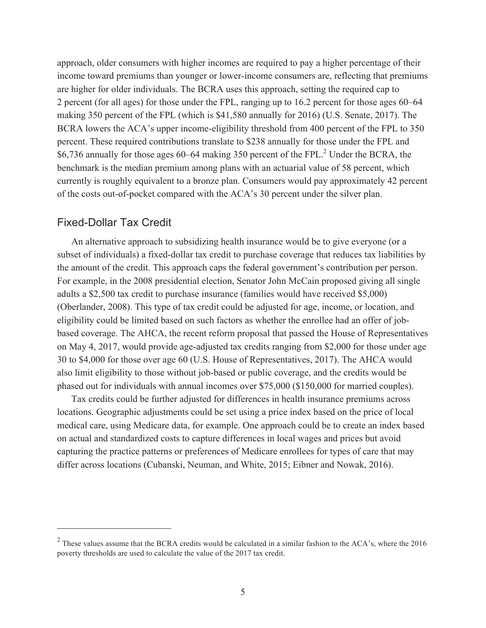approach, older consumers with higher incomes are required to pay a higher percentage of their income toward premiums than younger or lower-income consumers are, reflecting that premiums are higher for older individuals. The BCRA uses this approach, setting the required cap to 2 percent (for all ages) for those under the FPL, ranging up to 16.2 percent for those ages 60–64 making 350 percent of the FPL (which is \$41,580 annually for 2016) (U.S. Senate, 2017). The BCRA lowers the ACA's upper income-eligibility threshold from 400 percent of the FPL to 350 percent. These required contributions translate to \$238 annually for those under the FPL and \$6,736 annually for those ages  $60-64$  making 350 percent of the FPL.<sup>2</sup> Under the BCRA, the benchmark is the median premium among plans with an actuarial value of 58 percent, which currently is roughly equivalent to a bronze plan. Consumers would pay approximately 42 percent of the costs out-of-pocket compared with the ACA's 30 percent under the silver plan.

# Fixed-Dollar Tax Credit

 $\overline{a}$ 

An alternative approach to subsidizing health insurance would be to give everyone (or a subset of individuals) a fixed-dollar tax credit to purchase coverage that reduces tax liabilities by the amount of the credit. This approach caps the federal government's contribution per person. For example, in the 2008 presidential election, Senator John McCain proposed giving all single adults a \$2,500 tax credit to purchase insurance (families would have received \$5,000) (Oberlander, 2008). This type of tax credit could be adjusted for age, income, or location, and eligibility could be limited based on such factors as whether the enrollee had an offer of jobbased coverage. The AHCA, the recent reform proposal that passed the House of Representatives on May 4, 2017, would provide age-adjusted tax credits ranging from \$2,000 for those under age 30 to \$4,000 for those over age 60 (U.S. House of Representatives, 2017). The AHCA would also limit eligibility to those without job-based or public coverage, and the credits would be phased out for individuals with annual incomes over \$75,000 (\$150,000 for married couples).

Tax credits could be further adjusted for differences in health insurance premiums across locations. Geographic adjustments could be set using a price index based on the price of local medical care, using Medicare data, for example. One approach could be to create an index based on actual and standardized costs to capture differences in local wages and prices but avoid capturing the practice patterns or preferences of Medicare enrollees for types of care that may differ across locations (Cubanski, Neuman, and White, 2015; Eibner and Nowak, 2016).

 $^{2}$  These values assume that the BCRA credits would be calculated in a similar fashion to the ACA's, where the 2016 poverty thresholds are used to calculate the value of the 2017 tax credit.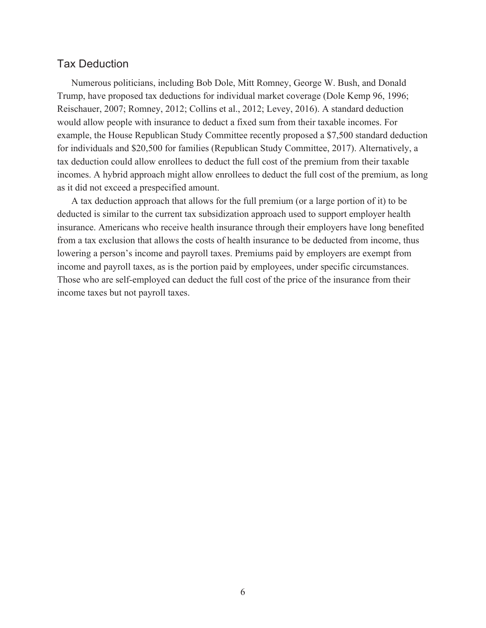# Tax Deduction

Numerous politicians, including Bob Dole, Mitt Romney, George W. Bush, and Donald Trump, have proposed tax deductions for individual market coverage (Dole Kemp 96, 1996; Reischauer, 2007; Romney, 2012; Collins et al., 2012; Levey, 2016). A standard deduction would allow people with insurance to deduct a fixed sum from their taxable incomes. For example, the House Republican Study Committee recently proposed a \$7,500 standard deduction for individuals and \$20,500 for families (Republican Study Committee, 2017). Alternatively, a tax deduction could allow enrollees to deduct the full cost of the premium from their taxable incomes. A hybrid approach might allow enrollees to deduct the full cost of the premium, as long as it did not exceed a prespecified amount.

A tax deduction approach that allows for the full premium (or a large portion of it) to be deducted is similar to the current tax subsidization approach used to support employer health insurance. Americans who receive health insurance through their employers have long benefited from a tax exclusion that allows the costs of health insurance to be deducted from income, thus lowering a person's income and payroll taxes. Premiums paid by employers are exempt from income and payroll taxes, as is the portion paid by employees, under specific circumstances. Those who are self-employed can deduct the full cost of the price of the insurance from their income taxes but not payroll taxes.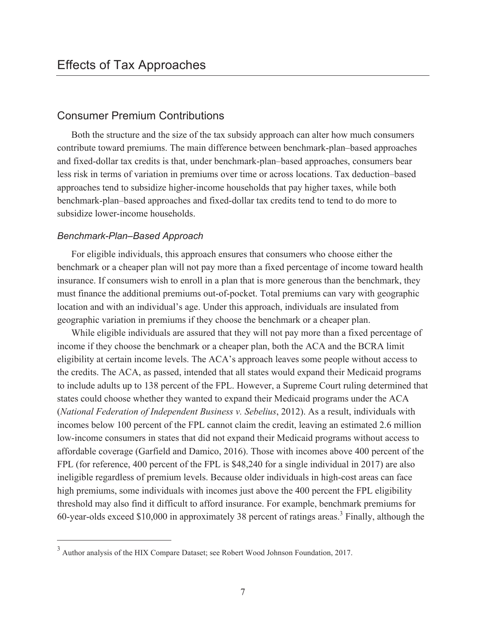# Consumer Premium Contributions

Both the structure and the size of the tax subsidy approach can alter how much consumers contribute toward premiums. The main difference between benchmark-plan–based approaches and fixed-dollar tax credits is that, under benchmark-plan–based approaches, consumers bear less risk in terms of variation in premiums over time or across locations. Tax deduction–based approaches tend to subsidize higher-income households that pay higher taxes, while both benchmark-plan–based approaches and fixed-dollar tax credits tend to tend to do more to subsidize lower-income households.

# *Benchmark-Plan–Based Approach*

 $\overline{a}$ 

For eligible individuals, this approach ensures that consumers who choose either the benchmark or a cheaper plan will not pay more than a fixed percentage of income toward health insurance. If consumers wish to enroll in a plan that is more generous than the benchmark, they must finance the additional premiums out-of-pocket. Total premiums can vary with geographic location and with an individual's age. Under this approach, individuals are insulated from geographic variation in premiums if they choose the benchmark or a cheaper plan.

While eligible individuals are assured that they will not pay more than a fixed percentage of income if they choose the benchmark or a cheaper plan, both the ACA and the BCRA limit eligibility at certain income levels. The ACA's approach leaves some people without access to the credits. The ACA, as passed, intended that all states would expand their Medicaid programs to include adults up to 138 percent of the FPL. However, a Supreme Court ruling determined that states could choose whether they wanted to expand their Medicaid programs under the ACA (*National Federation of Independent Business v. Sebelius*, 2012). As a result, individuals with incomes below 100 percent of the FPL cannot claim the credit, leaving an estimated 2.6 million low-income consumers in states that did not expand their Medicaid programs without access to affordable coverage (Garfield and Damico, 2016). Those with incomes above 400 percent of the FPL (for reference, 400 percent of the FPL is \$48,240 for a single individual in 2017) are also ineligible regardless of premium levels. Because older individuals in high-cost areas can face high premiums, some individuals with incomes just above the 400 percent the FPL eligibility threshold may also find it difficult to afford insurance. For example, benchmark premiums for 60-year-olds exceed \$10,000 in approximately 38 percent of ratings areas.<sup>3</sup> Finally, although the

<sup>&</sup>lt;sup>3</sup> Author analysis of the HIX Compare Dataset; see Robert Wood Johnson Foundation, 2017.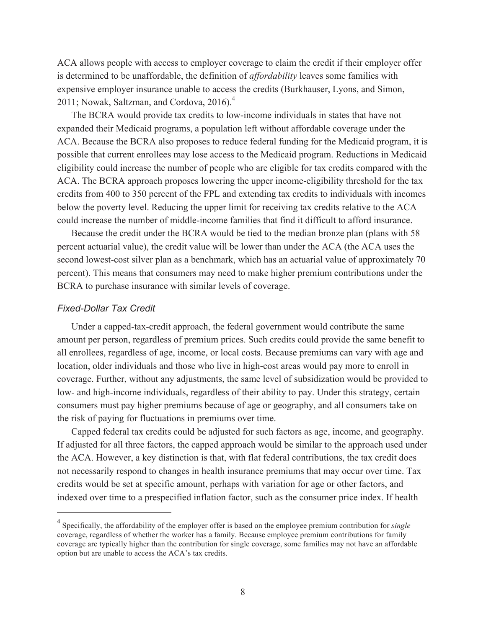ACA allows people with access to employer coverage to claim the credit if their employer offer is determined to be unaffordable, the definition of *affordability* leaves some families with expensive employer insurance unable to access the credits (Burkhauser, Lyons, and Simon, 2011; Nowak, Saltzman, and Cordova,  $2016$ .<sup>4</sup>

The BCRA would provide tax credits to low-income individuals in states that have not expanded their Medicaid programs, a population left without affordable coverage under the ACA. Because the BCRA also proposes to reduce federal funding for the Medicaid program, it is possible that current enrollees may lose access to the Medicaid program. Reductions in Medicaid eligibility could increase the number of people who are eligible for tax credits compared with the ACA. The BCRA approach proposes lowering the upper income-eligibility threshold for the tax credits from 400 to 350 percent of the FPL and extending tax credits to individuals with incomes below the poverty level. Reducing the upper limit for receiving tax credits relative to the ACA could increase the number of middle-income families that find it difficult to afford insurance.

Because the credit under the BCRA would be tied to the median bronze plan (plans with 58 percent actuarial value), the credit value will be lower than under the ACA (the ACA uses the second lowest-cost silver plan as a benchmark, which has an actuarial value of approximately 70 percent). This means that consumers may need to make higher premium contributions under the BCRA to purchase insurance with similar levels of coverage.

#### *Fixed-Dollar Tax Credit*

 $\overline{a}$ 

Under a capped-tax-credit approach, the federal government would contribute the same amount per person, regardless of premium prices. Such credits could provide the same benefit to all enrollees, regardless of age, income, or local costs. Because premiums can vary with age and location, older individuals and those who live in high-cost areas would pay more to enroll in coverage. Further, without any adjustments, the same level of subsidization would be provided to low- and high-income individuals, regardless of their ability to pay. Under this strategy, certain consumers must pay higher premiums because of age or geography, and all consumers take on the risk of paying for fluctuations in premiums over time.

Capped federal tax credits could be adjusted for such factors as age, income, and geography. If adjusted for all three factors, the capped approach would be similar to the approach used under the ACA. However, a key distinction is that, with flat federal contributions, the tax credit does not necessarily respond to changes in health insurance premiums that may occur over time. Tax credits would be set at specific amount, perhaps with variation for age or other factors, and indexed over time to a prespecified inflation factor, such as the consumer price index. If health

<sup>4</sup> Specifically, the affordability of the employer offer is based on the employee premium contribution for *single* coverage, regardless of whether the worker has a family. Because employee premium contributions for family coverage are typically higher than the contribution for single coverage, some families may not have an affordable option but are unable to access the ACA's tax credits.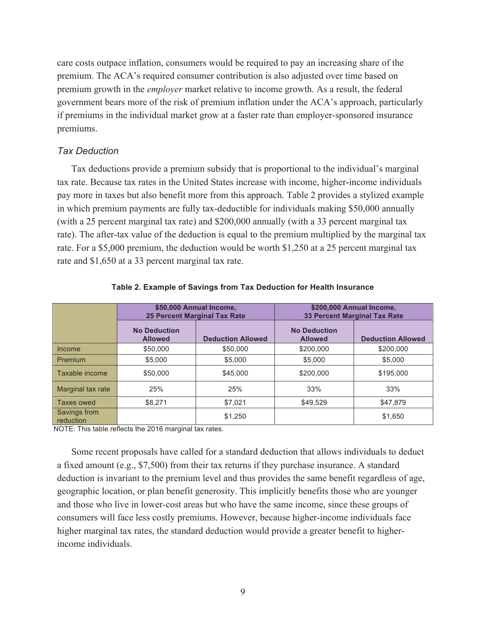care costs outpace inflation, consumers would be required to pay an increasing share of the premium. The ACA's required consumer contribution is also adjusted over time based on premium growth in the *employer* market relative to income growth. As a result, the federal government bears more of the risk of premium inflation under the ACA's approach, particularly if premiums in the individual market grow at a faster rate than employer-sponsored insurance premiums.

# *Tax Deduction*

Tax deductions provide a premium subsidy that is proportional to the individual's marginal tax rate. Because tax rates in the United States increase with income, higher-income individuals pay more in taxes but also benefit more from this approach. Table 2 provides a stylized example in which premium payments are fully tax-deductible for individuals making \$50,000 annually (with a 25 percent marginal tax rate) and \$200,000 annually (with a 33 percent marginal tax rate). The after-tax value of the deduction is equal to the premium multiplied by the marginal tax rate. For a \$5,000 premium, the deduction would be worth \$1,250 at a 25 percent marginal tax rate and \$1,650 at a 33 percent marginal tax rate.

|                           | \$50,000 Annual Income,               |                          | \$200,000 Annual Income,              |                          |  |
|---------------------------|---------------------------------------|--------------------------|---------------------------------------|--------------------------|--|
|                           | <b>25 Percent Marginal Tax Rate</b>   |                          | <b>33 Percent Marginal Tax Rate</b>   |                          |  |
|                           | <b>No Deduction</b><br><b>Allowed</b> | <b>Deduction Allowed</b> | <b>No Deduction</b><br><b>Allowed</b> | <b>Deduction Allowed</b> |  |
| Income                    | \$50,000                              | \$50,000                 | \$200,000                             | \$200,000                |  |
| Premium                   | \$5,000                               | \$5,000                  | \$5,000                               | \$5,000                  |  |
| Taxable income            | \$50,000                              | \$45,000                 | \$200,000                             | \$195,000                |  |
| Marginal tax rate         | 25%                                   | 25%                      | 33%                                   | 33%                      |  |
| Taxes owed                | \$8.271                               | \$7.021                  | \$49.529                              | \$47.879                 |  |
| Savings from<br>reduction |                                       | \$1.250                  |                                       | \$1,650                  |  |

#### **Table 2. Example of Savings from Tax Deduction for Health Insurance**

NOTE: This table reflects the 2016 marginal tax rates.

Some recent proposals have called for a standard deduction that allows individuals to deduct a fixed amount (e.g., \$7,500) from their tax returns if they purchase insurance. A standard deduction is invariant to the premium level and thus provides the same benefit regardless of age, geographic location, or plan benefit generosity. This implicitly benefits those who are younger and those who live in lower-cost areas but who have the same income, since these groups of consumers will face less costly premiums. However, because higher-income individuals face higher marginal tax rates, the standard deduction would provide a greater benefit to higherincome individuals.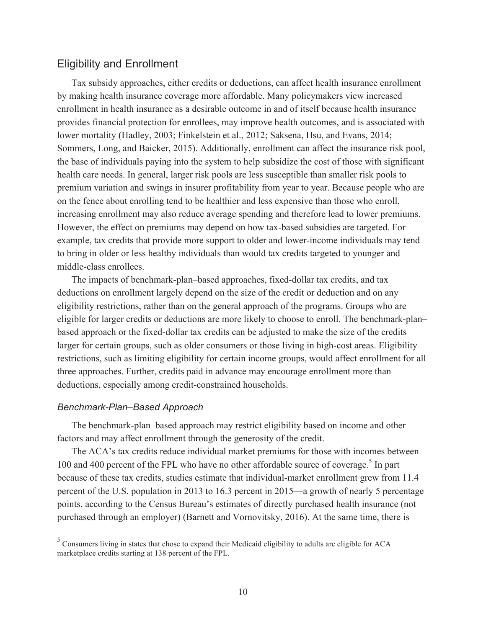# Eligibility and Enrollment

Tax subsidy approaches, either credits or deductions, can affect health insurance enrollment by making health insurance coverage more affordable. Many policymakers view increased enrollment in health insurance as a desirable outcome in and of itself because health insurance provides financial protection for enrollees, may improve health outcomes, and is associated with lower mortality (Hadley, 2003; Finkelstein et al., 2012; Saksena, Hsu, and Evans, 2014; Sommers, Long, and Baicker, 2015). Additionally, enrollment can affect the insurance risk pool, the base of individuals paying into the system to help subsidize the cost of those with significant health care needs. In general, larger risk pools are less susceptible than smaller risk pools to premium variation and swings in insurer profitability from year to year. Because people who are on the fence about enrolling tend to be healthier and less expensive than those who enroll, increasing enrollment may also reduce average spending and therefore lead to lower premiums. However, the effect on premiums may depend on how tax-based subsidies are targeted. For example, tax credits that provide more support to older and lower-income individuals may tend to bring in older or less healthy individuals than would tax credits targeted to younger and middle-class enrollees.

The impacts of benchmark-plan–based approaches, fixed-dollar tax credits, and tax deductions on enrollment largely depend on the size of the credit or deduction and on any eligibility restrictions, rather than on the general approach of the programs. Groups who are eligible for larger credits or deductions are more likely to choose to enroll. The benchmark-plan– based approach or the fixed-dollar tax credits can be adjusted to make the size of the credits larger for certain groups, such as older consumers or those living in high-cost areas. Eligibility restrictions, such as limiting eligibility for certain income groups, would affect enrollment for all three approaches. Further, credits paid in advance may encourage enrollment more than deductions, especially among credit-constrained households.

#### *Benchmark-Plan–Based Approach*

 $\overline{a}$ 

The benchmark-plan–based approach may restrict eligibility based on income and other factors and may affect enrollment through the generosity of the credit.

The ACA's tax credits reduce individual market premiums for those with incomes between 100 and 400 percent of the FPL who have no other affordable source of coverage.<sup>5</sup> In part because of these tax credits, studies estimate that individual-market enrollment grew from 11.4 percent of the U.S. population in 2013 to 16.3 percent in 2015—a growth of nearly 5 percentage points, according to the Census Bureau's estimates of directly purchased health insurance (not purchased through an employer) (Barnett and Vornovitsky, 2016). At the same time, there is

<sup>5</sup> Consumers living in states that chose to expand their Medicaid eligibility to adults are eligible for ACA marketplace credits starting at 138 percent of the FPL.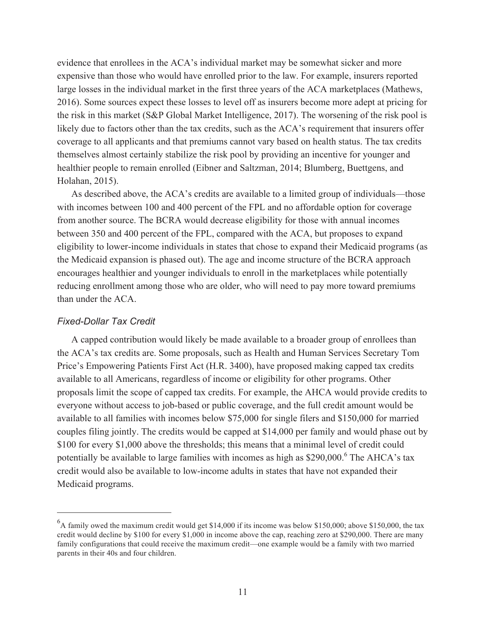evidence that enrollees in the ACA's individual market may be somewhat sicker and more expensive than those who would have enrolled prior to the law. For example, insurers reported large losses in the individual market in the first three years of the ACA marketplaces (Mathews, 2016). Some sources expect these losses to level off as insurers become more adept at pricing for the risk in this market (S&P Global Market Intelligence, 2017). The worsening of the risk pool is likely due to factors other than the tax credits, such as the ACA's requirement that insurers offer coverage to all applicants and that premiums cannot vary based on health status. The tax credits themselves almost certainly stabilize the risk pool by providing an incentive for younger and healthier people to remain enrolled (Eibner and Saltzman, 2014; Blumberg, Buettgens, and Holahan, 2015).

As described above, the ACA's credits are available to a limited group of individuals—those with incomes between 100 and 400 percent of the FPL and no affordable option for coverage from another source. The BCRA would decrease eligibility for those with annual incomes between 350 and 400 percent of the FPL, compared with the ACA, but proposes to expand eligibility to lower-income individuals in states that chose to expand their Medicaid programs (as the Medicaid expansion is phased out). The age and income structure of the BCRA approach encourages healthier and younger individuals to enroll in the marketplaces while potentially reducing enrollment among those who are older, who will need to pay more toward premiums than under the ACA.

# *Fixed-Dollar Tax Credit*

 $\overline{a}$ 

A capped contribution would likely be made available to a broader group of enrollees than the ACA's tax credits are. Some proposals, such as Health and Human Services Secretary Tom Price's Empowering Patients First Act (H.R. 3400), have proposed making capped tax credits available to all Americans, regardless of income or eligibility for other programs. Other proposals limit the scope of capped tax credits. For example, the AHCA would provide credits to everyone without access to job-based or public coverage, and the full credit amount would be available to all families with incomes below \$75,000 for single filers and \$150,000 for married couples filing jointly. The credits would be capped at \$14,000 per family and would phase out by \$100 for every \$1,000 above the thresholds; this means that a minimal level of credit could potentially be available to large families with incomes as high as \$290,000.<sup>6</sup> The AHCA's tax credit would also be available to low-income adults in states that have not expanded their Medicaid programs.

<sup>&</sup>lt;sup>6</sup>A family owed the maximum credit would get \$14,000 if its income was below \$150,000; above \$150,000, the tax credit would decline by \$100 for every \$1,000 in income above the cap, reaching zero at \$290,000. There are many family configurations that could receive the maximum credit—one example would be a family with two married parents in their 40s and four children.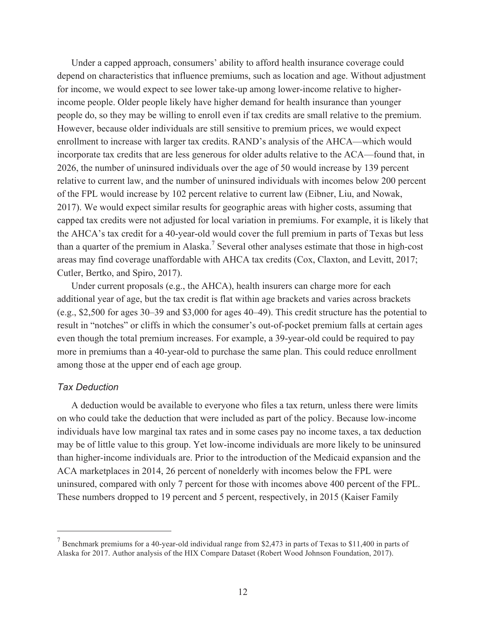Under a capped approach, consumers' ability to afford health insurance coverage could depend on characteristics that influence premiums, such as location and age. Without adjustment for income, we would expect to see lower take-up among lower-income relative to higherincome people. Older people likely have higher demand for health insurance than younger people do, so they may be willing to enroll even if tax credits are small relative to the premium. However, because older individuals are still sensitive to premium prices, we would expect enrollment to increase with larger tax credits. RAND's analysis of the AHCA—which would incorporate tax credits that are less generous for older adults relative to the ACA—found that, in 2026, the number of uninsured individuals over the age of 50 would increase by 139 percent relative to current law, and the number of uninsured individuals with incomes below 200 percent of the FPL would increase by 102 percent relative to current law (Eibner, Liu, and Nowak, 2017). We would expect similar results for geographic areas with higher costs, assuming that capped tax credits were not adjusted for local variation in premiums. For example, it is likely that the AHCA's tax credit for a 40-year-old would cover the full premium in parts of Texas but less than a quarter of the premium in Alaska.<sup>7</sup> Several other analyses estimate that those in high-cost areas may find coverage unaffordable with AHCA tax credits (Cox, Claxton, and Levitt, 2017; Cutler, Bertko, and Spiro, 2017).

Under current proposals (e.g., the  $A HCA$ ), health insurers can charge more for each additional year of age, but the tax credit is flat within age brackets and varies across brackets (e.g., \$2,500 for ages 30–39 and \$3,000 for ages 40–49). This credit structure has the potential to result in "notches" or cliffs in which the consumer's out-of-pocket premium falls at certain ages even though the total premium increases. For example, a 39-year-old could be required to pay more in premiums than a 40-year-old to purchase the same plan. This could reduce enrollment among those at the upper end of each age group.

# *Tax Deduction*

 $\overline{a}$ 

A deduction would be available to everyone who files a tax return, unless there were limits on who could take the deduction that were included as part of the policy. Because low-income individuals have low marginal tax rates and in some cases pay no income taxes, a tax deduction may be of little value to this group. Yet low-income individuals are more likely to be uninsured than higher-income individuals are. Prior to the introduction of the Medicaid expansion and the ACA marketplaces in 2014, 26 percent of nonelderly with incomes below the FPL were uninsured, compared with only 7 percent for those with incomes above 400 percent of the FPL. These numbers dropped to 19 percent and 5 percent, respectively, in 2015 (Kaiser Family

 $<sup>7</sup>$  Benchmark premiums for a 40-year-old individual range from \$2,473 in parts of Texas to \$11,400 in parts of</sup> Alaska for 2017. Author analysis of the HIX Compare Dataset (Robert Wood Johnson Foundation, 2017).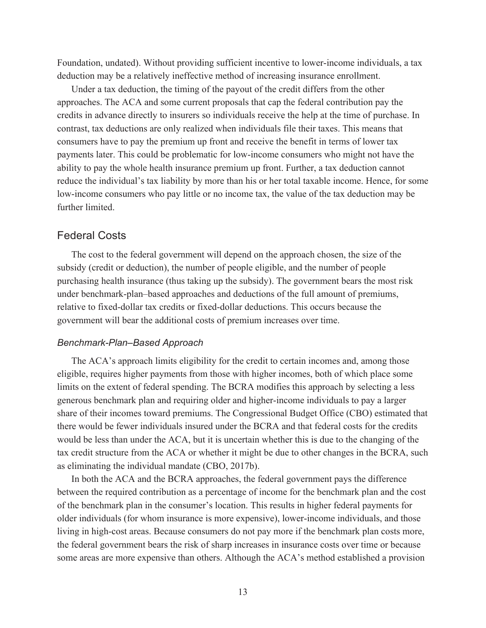Foundation, undated). Without providing sufficient incentive to lower-income individuals, a tax deduction may be a relatively ineffective method of increasing insurance enrollment.

Under a tax deduction, the timing of the payout of the credit differs from the other approaches. The ACA and some current proposals that cap the federal contribution pay the credits in advance directly to insurers so individuals receive the help at the time of purchase. In contrast, tax deductions are only realized when individuals file their taxes. This means that consumers have to pay the premium up front and receive the benefit in terms of lower tax payments later. This could be problematic for low-income consumers who might not have the ability to pay the whole health insurance premium up front. Further, a tax deduction cannot reduce the individual's tax liability by more than his or her total taxable income. Hence, for some low-income consumers who pay little or no income tax, the value of the tax deduction may be further limited.

# Federal Costs

The cost to the federal government will depend on the approach chosen, the size of the subsidy (credit or deduction), the number of people eligible, and the number of people purchasing health insurance (thus taking up the subsidy). The government bears the most risk under benchmark-plan–based approaches and deductions of the full amount of premiums, relative to fixed-dollar tax credits or fixed-dollar deductions. This occurs because the government will bear the additional costs of premium increases over time.

#### *Benchmark-Plan–Based Approach*

The ACA's approach limits eligibility for the credit to certain incomes and, among those eligible, requires higher payments from those with higher incomes, both of which place some limits on the extent of federal spending. The BCRA modifies this approach by selecting a less generous benchmark plan and requiring older and higher-income individuals to pay a larger share of their incomes toward premiums. The Congressional Budget Office (CBO) estimated that there would be fewer individuals insured under the BCRA and that federal costs for the credits would be less than under the ACA, but it is uncertain whether this is due to the changing of the tax credit structure from the ACA or whether it might be due to other changes in the BCRA, such as eliminating the individual mandate (CBO, 2017b).

In both the ACA and the BCRA approaches, the federal government pays the difference between the required contribution as a percentage of income for the benchmark plan and the cost of the benchmark plan in the consumer's location. This results in higher federal payments for older individuals (for whom insurance is more expensive), lower-income individuals, and those living in high-cost areas. Because consumers do not pay more if the benchmark plan costs more, the federal government bears the risk of sharp increases in insurance costs over time or because some areas are more expensive than others. Although the ACA's method established a provision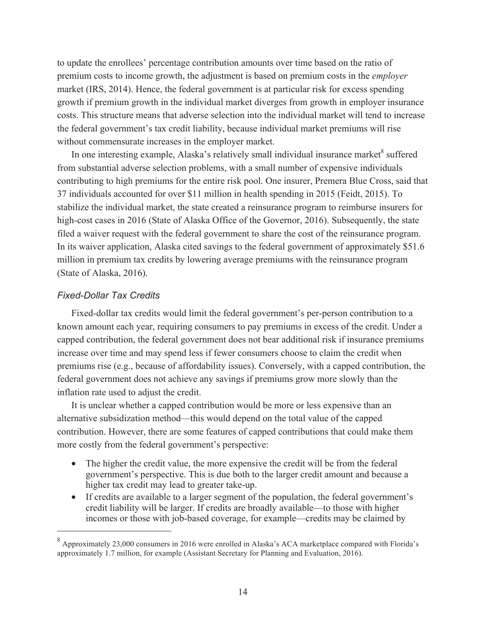to update the enrollees' percentage contribution amounts over time based on the ratio of premium costs to income growth, the adjustment is based on premium costs in the *employer*  market (IRS, 2014). Hence, the federal government is at particular risk for excess spending growth if premium growth in the individual market diverges from growth in employer insurance costs. This structure means that adverse selection into the individual market will tend to increase the federal government's tax credit liability, because individual market premiums will rise without commensurate increases in the employer market.

In one interesting example, Alaska's relatively small individual insurance market<sup>8</sup> suffered from substantial adverse selection problems, with a small number of expensive individuals contributing to high premiums for the entire risk pool. One insurer, Premera Blue Cross, said that 37 individuals accounted for over \$11 million in health spending in 2015 (Feidt, 2015). To stabilize the individual market, the state created a reinsurance program to reimburse insurers for high-cost cases in 2016 (State of Alaska Office of the Governor, 2016). Subsequently, the state filed a waiver request with the federal government to share the cost of the reinsurance program. In its waiver application, Alaska cited savings to the federal government of approximately \$51.6 million in premium tax credits by lowering average premiums with the reinsurance program (State of Alaska, 2016).

## *Fixed-Dollar Tax Credits*

 $\overline{a}$ 

Fixed-dollar tax credits would limit the federal government's per-person contribution to a known amount each year, requiring consumers to pay premiums in excess of the credit. Under a capped contribution, the federal government does not bear additional risk if insurance premiums increase over time and may spend less if fewer consumers choose to claim the credit when premiums rise (e.g., because of affordability issues). Conversely, with a capped contribution, the federal government does not achieve any savings if premiums grow more slowly than the inflation rate used to adjust the credit.

It is unclear whether a capped contribution would be more or less expensive than an alternative subsidization method—this would depend on the total value of the capped contribution. However, there are some features of capped contributions that could make them more costly from the federal government's perspective:

- The higher the credit value, the more expensive the credit will be from the federal government's perspective. This is due both to the larger credit amount and because a higher tax credit may lead to greater take-up.
- If credits are available to a larger segment of the population, the federal government's credit liability will be larger. If credits are broadly available—to those with higher incomes or those with job-based coverage, for example—credits may be claimed by

<sup>8</sup> Approximately 23,000 consumers in 2016 were enrolled in Alaska's ACA marketplace compared with Florida's approximately 1.7 million, for example (Assistant Secretary for Planning and Evaluation, 2016).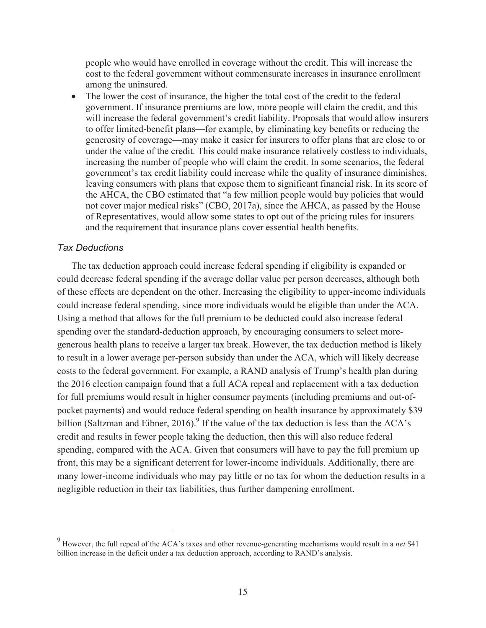people who would have enrolled in coverage without the credit. This will increase the cost to the federal government without commensurate increases in insurance enrollment among the uninsured.

• The lower the cost of insurance, the higher the total cost of the credit to the federal government. If insurance premiums are low, more people will claim the credit, and this will increase the federal government's credit liability. Proposals that would allow insurers to offer limited-benefit plans—for example, by eliminating key benefits or reducing the generosity of coverage—may make it easier for insurers to offer plans that are close to or under the value of the credit. This could make insurance relatively costless to individuals, increasing the number of people who will claim the credit. In some scenarios, the federal government's tax credit liability could increase while the quality of insurance diminishes, leaving consumers with plans that expose them to significant financial risk. In its score of the AHCA, the CBO estimated that "a few million people would buy policies that would not cover major medical risks" (CBO, 2017a), since the AHCA, as passed by the House of Representatives, would allow some states to opt out of the pricing rules for insurers and the requirement that insurance plans cover essential health benefits.

#### *Tax Deductions*

 $\overline{a}$ 

The tax deduction approach could increase federal spending if eligibility is expanded or could decrease federal spending if the average dollar value per person decreases, although both of these effects are dependent on the other. Increasing the eligibility to upper-income individuals could increase federal spending, since more individuals would be eligible than under the ACA. Using a method that allows for the full premium to be deducted could also increase federal spending over the standard-deduction approach, by encouraging consumers to select moregenerous health plans to receive a larger tax break. However, the tax deduction method is likely to result in a lower average per-person subsidy than under the ACA, which will likely decrease costs to the federal government. For example, a RAND analysis of Trump's health plan during the 2016 election campaign found that a full ACA repeal and replacement with a tax deduction for full premiums would result in higher consumer payments (including premiums and out-ofpocket payments) and would reduce federal spending on health insurance by approximately \$39 billion (Saltzman and Eibner, 2016).<sup>9</sup> If the value of the tax deduction is less than the ACA's credit and results in fewer people taking the deduction, then this will also reduce federal spending, compared with the ACA. Given that consumers will have to pay the full premium up front, this may be a significant deterrent for lower-income individuals. Additionally, there are many lower-income individuals who may pay little or no tax for whom the deduction results in a negligible reduction in their tax liabilities, thus further dampening enrollment.

<sup>9</sup> However, the full repeal of the ACA's taxes and other revenue-generating mechanisms would result in a *net* \$41 billion increase in the deficit under a tax deduction approach, according to RAND's analysis.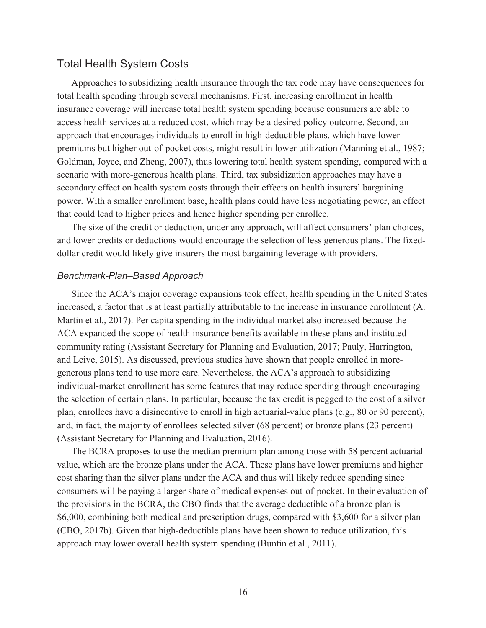# Total Health System Costs

Approaches to subsidizing health insurance through the tax code may have consequences for total health spending through several mechanisms. First, increasing enrollment in health insurance coverage will increase total health system spending because consumers are able to access health services at a reduced cost, which may be a desired policy outcome. Second, an approach that encourages individuals to enroll in high-deductible plans, which have lower premiums but higher out-of-pocket costs, might result in lower utilization (Manning et al., 1987; Goldman, Joyce, and Zheng, 2007), thus lowering total health system spending, compared with a scenario with more-generous health plans. Third, tax subsidization approaches may have a secondary effect on health system costs through their effects on health insurers' bargaining power. With a smaller enrollment base, health plans could have less negotiating power, an effect that could lead to higher prices and hence higher spending per enrollee.

The size of the credit or deduction, under any approach, will affect consumers' plan choices, and lower credits or deductions would encourage the selection of less generous plans. The fixeddollar credit would likely give insurers the most bargaining leverage with providers.

#### *Benchmark-Plan–Based Approach*

Since the ACA's major coverage expansions took effect, health spending in the United States increased, a factor that is at least partially attributable to the increase in insurance enrollment (A. Martin et al., 2017). Per capita spending in the individual market also increased because the ACA expanded the scope of health insurance benefits available in these plans and instituted community rating (Assistant Secretary for Planning and Evaluation, 2017; Pauly, Harrington, and Leive, 2015). As discussed, previous studies have shown that people enrolled in moregenerous plans tend to use more care. Nevertheless, the ACA's approach to subsidizing individual-market enrollment has some features that may reduce spending through encouraging the selection of certain plans. In particular, because the tax credit is pegged to the cost of a silver plan, enrollees have a disincentive to enroll in high actuarial-value plans (e.g., 80 or 90 percent), and, in fact, the majority of enrollees selected silver (68 percent) or bronze plans (23 percent) (Assistant Secretary for Planning and Evaluation, 2016).

The BCRA proposes to use the median premium plan among those with 58 percent actuarial value, which are the bronze plans under the ACA. These plans have lower premiums and higher cost sharing than the silver plans under the ACA and thus will likely reduce spending since consumers will be paying a larger share of medical expenses out-of-pocket. In their evaluation of the provisions in the BCRA, the CBO finds that the average deductible of a bronze plan is \$6,000, combining both medical and prescription drugs, compared with \$3,600 for a silver plan (CBO, 2017b). Given that high-deductible plans have been shown to reduce utilization, this approach may lower overall health system spending (Buntin et al., 2011).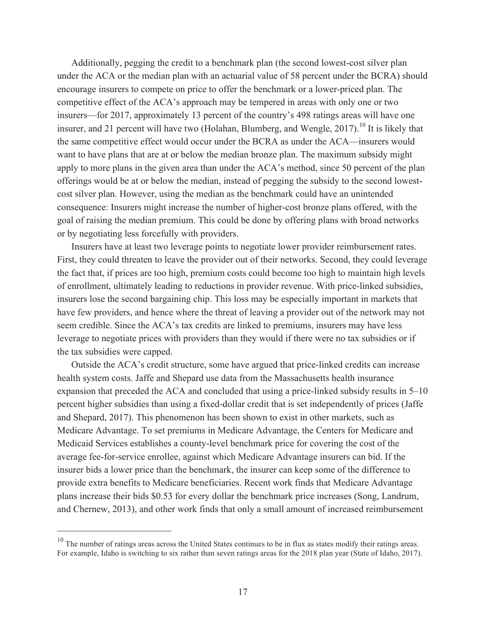Additionally, pegging the credit to a benchmark plan (the second lowest-cost silver plan under the ACA or the median plan with an actuarial value of 58 percent under the BCRA) should encourage insurers to compete on price to offer the benchmark or a lower-priced plan. The competitive effect of the ACA's approach may be tempered in areas with only one or two insurers—for 2017, approximately 13 percent of the country's 498 ratings areas will have one insurer, and 21 percent will have two (Holahan, Blumberg, and Wengle, 2017).<sup>10</sup> It is likely that the same competitive effect would occur under the BCRA as under the ACA—insurers would want to have plans that are at or below the median bronze plan. The maximum subsidy might apply to more plans in the given area than under the ACA's method, since 50 percent of the plan offerings would be at or below the median, instead of pegging the subsidy to the second lowestcost silver plan. However, using the median as the benchmark could have an unintended consequence: Insurers might increase the number of higher-cost bronze plans offered, with the goal of raising the median premium. This could be done by offering plans with broad networks or by negotiating less forcefully with providers.

Insurers have at least two leverage points to negotiate lower provider reimbursement rates. First, they could threaten to leave the provider out of their networks. Second, they could leverage the fact that, if prices are too high, premium costs could become too high to maintain high levels of enrollment, ultimately leading to reductions in provider revenue. With price-linked subsidies, insurers lose the second bargaining chip. This loss may be especially important in markets that have few providers, and hence where the threat of leaving a provider out of the network may not seem credible. Since the ACA's tax credits are linked to premiums, insurers may have less leverage to negotiate prices with providers than they would if there were no tax subsidies or if the tax subsidies were capped.

Outside the ACA's credit structure, some have argued that price-linked credits can increase health system costs. Jaffe and Shepard use data from the Massachusetts health insurance expansion that preceded the ACA and concluded that using a price-linked subsidy results in 5–10 percent higher subsidies than using a fixed-dollar credit that is set independently of prices (Jaffe and Shepard, 2017). This phenomenon has been shown to exist in other markets, such as Medicare Advantage. To set premiums in Medicare Advantage, the Centers for Medicare and Medicaid Services establishes a county-level benchmark price for covering the cost of the average fee-for-service enrollee, against which Medicare Advantage insurers can bid. If the insurer bids a lower price than the benchmark, the insurer can keep some of the difference to provide extra benefits to Medicare beneficiaries. Recent work finds that Medicare Advantage plans increase their bids \$0.53 for every dollar the benchmark price increases (Song, Landrum, and Chernew, 2013), and other work finds that only a small amount of increased reimbursement

 $\overline{a}$ 

 $10$  The number of ratings areas across the United States continues to be in flux as states modify their ratings areas. For example, Idaho is switching to six rather than seven ratings areas for the 2018 plan year (State of Idaho, 2017).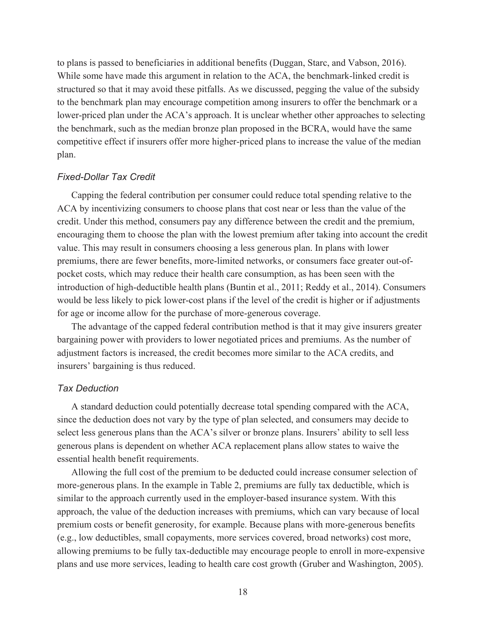to plans is passed to beneficiaries in additional benefits (Duggan, Starc, and Vabson, 2016). While some have made this argument in relation to the ACA, the benchmark-linked credit is structured so that it may avoid these pitfalls. As we discussed, pegging the value of the subsidy to the benchmark plan may encourage competition among insurers to offer the benchmark or a lower-priced plan under the ACA's approach. It is unclear whether other approaches to selecting the benchmark, such as the median bronze plan proposed in the BCRA, would have the same competitive effect if insurers offer more higher-priced plans to increase the value of the median plan.

#### *Fixed-Dollar Tax Credit*

Capping the federal contribution per consumer could reduce total spending relative to the ACA by incentivizing consumers to choose plans that cost near or less than the value of the credit. Under this method, consumers pay any difference between the credit and the premium, encouraging them to choose the plan with the lowest premium after taking into account the credit value. This may result in consumers choosing a less generous plan. In plans with lower premiums, there are fewer benefits, more-limited networks, or consumers face greater out-ofpocket costs, which may reduce their health care consumption, as has been seen with the introduction of high-deductible health plans (Buntin et al., 2011; Reddy et al., 2014). Consumers would be less likely to pick lower-cost plans if the level of the credit is higher or if adjustments for age or income allow for the purchase of more-generous coverage.

The advantage of the capped federal contribution method is that it may give insurers greater bargaining power with providers to lower negotiated prices and premiums. As the number of adjustment factors is increased, the credit becomes more similar to the ACA credits, and insurers' bargaining is thus reduced.

#### *Tax Deduction*

A standard deduction could potentially decrease total spending compared with the ACA, since the deduction does not vary by the type of plan selected, and consumers may decide to select less generous plans than the ACA's silver or bronze plans. Insurers' ability to sell less generous plans is dependent on whether ACA replacement plans allow states to waive the essential health benefit requirements.

Allowing the full cost of the premium to be deducted could increase consumer selection of more-generous plans. In the example in Table 2, premiums are fully tax deductible, which is similar to the approach currently used in the employer-based insurance system. With this approach, the value of the deduction increases with premiums, which can vary because of local premium costs or benefit generosity, for example. Because plans with more-generous benefits (e.g., low deductibles, small copayments, more services covered, broad networks) cost more, allowing premiums to be fully tax-deductible may encourage people to enroll in more-expensive plans and use more services, leading to health care cost growth (Gruber and Washington, 2005).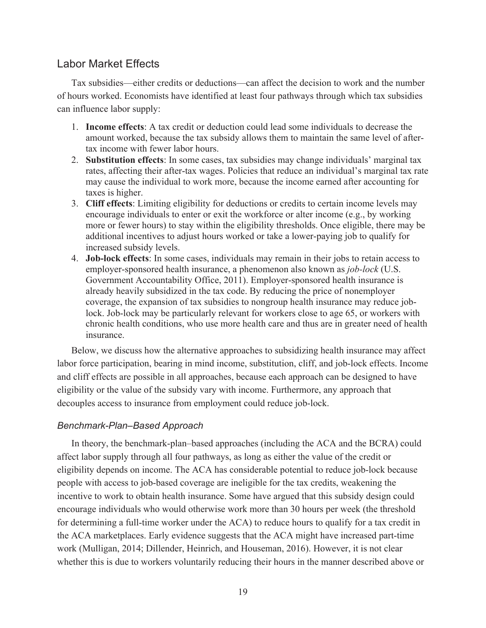# Labor Market Effects

Tax subsidies—either credits or deductions—can affect the decision to work and the number of hours worked. Economists have identified at least four pathways through which tax subsidies can influence labor supply:

- 1. **Income effects**: A tax credit or deduction could lead some individuals to decrease the amount worked, because the tax subsidy allows them to maintain the same level of aftertax income with fewer labor hours.
- 2. **Substitution effects**: In some cases, tax subsidies may change individuals' marginal tax rates, affecting their after-tax wages. Policies that reduce an individual's marginal tax rate may cause the individual to work more, because the income earned after accounting for taxes is higher.
- 3. **Cliff effects**: Limiting eligibility for deductions or credits to certain income levels may encourage individuals to enter or exit the workforce or alter income (e.g., by working more or fewer hours) to stay within the eligibility thresholds. Once eligible, there may be additional incentives to adjust hours worked or take a lower-paying job to qualify for increased subsidy levels.
- 4. **Job-lock effects**: In some cases, individuals may remain in their jobs to retain access to employer-sponsored health insurance, a phenomenon also known as *job-lock* (U.S. Government Accountability Office, 2011). Employer-sponsored health insurance is already heavily subsidized in the tax code. By reducing the price of nonemployer coverage, the expansion of tax subsidies to nongroup health insurance may reduce joblock. Job-lock may be particularly relevant for workers close to age 65, or workers with chronic health conditions, who use more health care and thus are in greater need of health insurance.

Below, we discuss how the alternative approaches to subsidizing health insurance may affect labor force participation, bearing in mind income, substitution, cliff, and job-lock effects. Income and cliff effects are possible in all approaches, because each approach can be designed to have eligibility or the value of the subsidy vary with income. Furthermore, any approach that decouples access to insurance from employment could reduce job-lock.

# *Benchmark-Plan–Based Approach*

In theory, the benchmark-plan–based approaches (including the ACA and the BCRA) could affect labor supply through all four pathways, as long as either the value of the credit or eligibility depends on income. The ACA has considerable potential to reduce job-lock because people with access to job-based coverage are ineligible for the tax credits, weakening the incentive to work to obtain health insurance. Some have argued that this subsidy design could encourage individuals who would otherwise work more than 30 hours per week (the threshold for determining a full-time worker under the ACA) to reduce hours to qualify for a tax credit in the ACA marketplaces. Early evidence suggests that the ACA might have increased part-time work (Mulligan, 2014; Dillender, Heinrich, and Houseman, 2016). However, it is not clear whether this is due to workers voluntarily reducing their hours in the manner described above or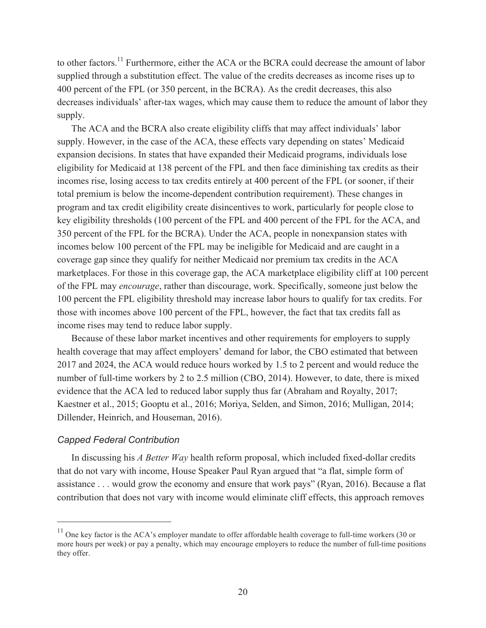to other factors.<sup>11</sup> Furthermore, either the ACA or the BCRA could decrease the amount of labor supplied through a substitution effect. The value of the credits decreases as income rises up to 400 percent of the FPL (or 350 percent, in the BCRA). As the credit decreases, this also decreases individuals' after-tax wages, which may cause them to reduce the amount of labor they supply.

The ACA and the BCRA also create eligibility cliffs that may affect individuals' labor supply. However, in the case of the ACA, these effects vary depending on states' Medicaid expansion decisions. In states that have expanded their Medicaid programs, individuals lose eligibility for Medicaid at 138 percent of the FPL and then face diminishing tax credits as their incomes rise, losing access to tax credits entirely at 400 percent of the FPL (or sooner, if their total premium is below the income-dependent contribution requirement). These changes in program and tax credit eligibility create disincentives to work, particularly for people close to key eligibility thresholds (100 percent of the FPL and 400 percent of the FPL for the ACA, and 350 percent of the FPL for the BCRA). Under the ACA, people in nonexpansion states with incomes below 100 percent of the FPL may be ineligible for Medicaid and are caught in a coverage gap since they qualify for neither Medicaid nor premium tax credits in the ACA marketplaces. For those in this coverage gap, the ACA marketplace eligibility cliff at 100 percent of the FPL may *encourage*, rather than discourage, work. Specifically, someone just below the 100 percent the FPL eligibility threshold may increase labor hours to qualify for tax credits. For those with incomes above 100 percent of the FPL, however, the fact that tax credits fall as income rises may tend to reduce labor supply.

Because of these labor market incentives and other requirements for employers to supply health coverage that may affect employers' demand for labor, the CBO estimated that between 2017 and 2024, the ACA would reduce hours worked by 1.5 to 2 percent and would reduce the number of full-time workers by 2 to 2.5 million (CBO, 2014). However, to date, there is mixed evidence that the ACA led to reduced labor supply thus far (Abraham and Royalty, 2017; Kaestner et al., 2015; Gooptu et al., 2016; Moriya, Selden, and Simon, 2016; Mulligan, 2014; Dillender, Heinrich, and Houseman, 2016).

#### *Capped Federal Contribution*

 $\overline{a}$ 

In discussing his *A Better Way* health reform proposal, which included fixed-dollar credits that do not vary with income, House Speaker Paul Ryan argued that "a flat, simple form of assistance . . . would grow the economy and ensure that work pays" (Ryan, 2016). Because a flat contribution that does not vary with income would eliminate cliff effects, this approach removes

 $11$  One key factor is the ACA's employer mandate to offer affordable health coverage to full-time workers (30 or more hours per week) or pay a penalty, which may encourage employers to reduce the number of full-time positions they offer.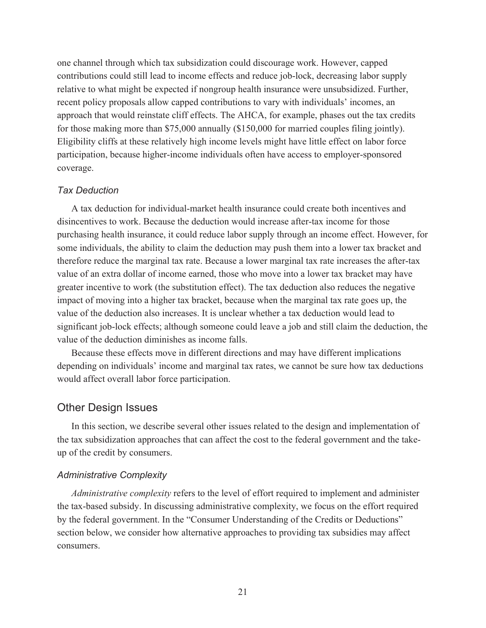one channel through which tax subsidization could discourage work. However, capped contributions could still lead to income effects and reduce job-lock, decreasing labor supply relative to what might be expected if nongroup health insurance were unsubsidized. Further, recent policy proposals allow capped contributions to vary with individuals' incomes, an approach that would reinstate cliff effects. The AHCA, for example, phases out the tax credits for those making more than \$75,000 annually (\$150,000 for married couples filing jointly). Eligibility cliffs at these relatively high income levels might have little effect on labor force participation, because higher-income individuals often have access to employer-sponsored coverage.

# *Tax Deduction*

A tax deduction for individual-market health insurance could create both incentives and disincentives to work. Because the deduction would increase after-tax income for those purchasing health insurance, it could reduce labor supply through an income effect. However, for some individuals, the ability to claim the deduction may push them into a lower tax bracket and therefore reduce the marginal tax rate. Because a lower marginal tax rate increases the after-tax value of an extra dollar of income earned, those who move into a lower tax bracket may have greater incentive to work (the substitution effect). The tax deduction also reduces the negative impact of moving into a higher tax bracket, because when the marginal tax rate goes up, the value of the deduction also increases. It is unclear whether a tax deduction would lead to significant job-lock effects; although someone could leave a job and still claim the deduction, the value of the deduction diminishes as income falls.

Because these effects move in different directions and may have different implications depending on individuals' income and marginal tax rates, we cannot be sure how tax deductions would affect overall labor force participation.

# Other Design Issues

In this section, we describe several other issues related to the design and implementation of the tax subsidization approaches that can affect the cost to the federal government and the takeup of the credit by consumers.

## *Administrative Complexity*

*Administrative complexity* refers to the level of effort required to implement and administer the tax-based subsidy. In discussing administrative complexity, we focus on the effort required by the federal government. In the "Consumer Understanding of the Credits or Deductions" section below, we consider how alternative approaches to providing tax subsidies may affect consumers.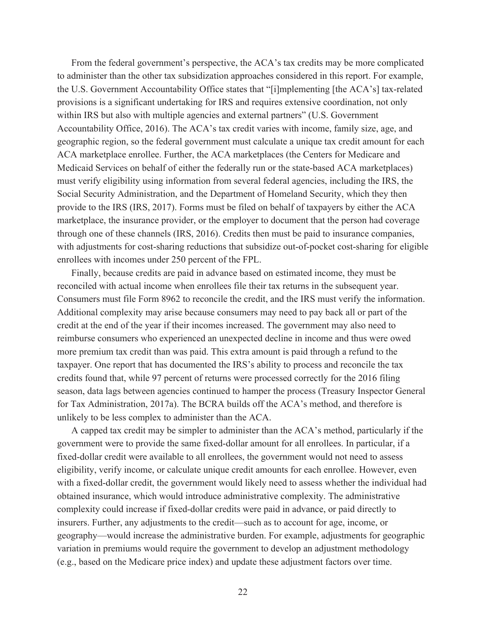From the federal government's perspective, the ACA's tax credits may be more complicated to administer than the other tax subsidization approaches considered in this report. For example, the U.S. Government Accountability Office states that "[i]mplementing [the ACA's] tax-related provisions is a significant undertaking for IRS and requires extensive coordination, not only within IRS but also with multiple agencies and external partners" (U.S. Government Accountability Office, 2016). The ACA's tax credit varies with income, family size, age, and geographic region, so the federal government must calculate a unique tax credit amount for each ACA marketplace enrollee. Further, the ACA marketplaces (the Centers for Medicare and Medicaid Services on behalf of either the federally run or the state-based ACA marketplaces) must verify eligibility using information from several federal agencies, including the IRS, the Social Security Administration, and the Department of Homeland Security, which they then provide to the IRS (IRS, 2017). Forms must be filed on behalf of taxpayers by either the ACA marketplace, the insurance provider, or the employer to document that the person had coverage through one of these channels (IRS, 2016). Credits then must be paid to insurance companies, with adjustments for cost-sharing reductions that subsidize out-of-pocket cost-sharing for eligible enrollees with incomes under 250 percent of the FPL.

Finally, because credits are paid in advance based on estimated income, they must be reconciled with actual income when enrollees file their tax returns in the subsequent year. Consumers must file Form 8962 to reconcile the credit, and the IRS must verify the information. Additional complexity may arise because consumers may need to pay back all or part of the credit at the end of the year if their incomes increased. The government may also need to reimburse consumers who experienced an unexpected decline in income and thus were owed more premium tax credit than was paid. This extra amount is paid through a refund to the taxpayer. One report that has documented the IRS's ability to process and reconcile the tax credits found that, while 97 percent of returns were processed correctly for the 2016 filing season, data lags between agencies continued to hamper the process (Treasury Inspector General for Tax Administration, 2017a). The BCRA builds off the ACA's method, and therefore is unlikely to be less complex to administer than the ACA.

A capped tax credit may be simpler to administer than the ACA's method, particularly if the government were to provide the same fixed-dollar amount for all enrollees. In particular, if a fixed-dollar credit were available to all enrollees, the government would not need to assess eligibility, verify income, or calculate unique credit amounts for each enrollee. However, even with a fixed-dollar credit, the government would likely need to assess whether the individual had obtained insurance, which would introduce administrative complexity. The administrative complexity could increase if fixed-dollar credits were paid in advance, or paid directly to insurers. Further, any adjustments to the credit—such as to account for age, income, or geography—would increase the administrative burden. For example, adjustments for geographic variation in premiums would require the government to develop an adjustment methodology (e.g., based on the Medicare price index) and update these adjustment factors over time.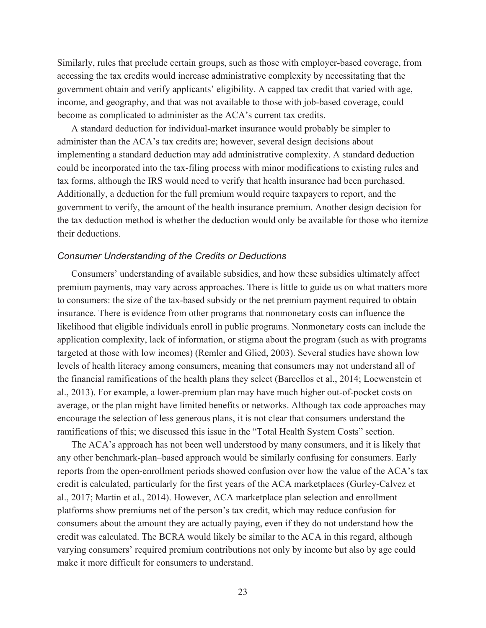Similarly, rules that preclude certain groups, such as those with employer-based coverage, from accessing the tax credits would increase administrative complexity by necessitating that the government obtain and verify applicants' eligibility. A capped tax credit that varied with age, income, and geography, and that was not available to those with job-based coverage, could become as complicated to administer as the ACA's current tax credits.

A standard deduction for individual-market insurance would probably be simpler to administer than the ACA's tax credits are; however, several design decisions about implementing a standard deduction may add administrative complexity. A standard deduction could be incorporated into the tax-filing process with minor modifications to existing rules and tax forms, although the IRS would need to verify that health insurance had been purchased. Additionally, a deduction for the full premium would require taxpayers to report, and the government to verify, the amount of the health insurance premium. Another design decision for the tax deduction method is whether the deduction would only be available for those who itemize their deductions.

#### *Consumer Understanding of the Credits or Deductions*

Consumers' understanding of available subsidies, and how these subsidies ultimately affect premium payments, may vary across approaches. There is little to guide us on what matters more to consumers: the size of the tax-based subsidy or the net premium payment required to obtain insurance. There is evidence from other programs that nonmonetary costs can influence the likelihood that eligible individuals enroll in public programs. Nonmonetary costs can include the application complexity, lack of information, or stigma about the program (such as with programs targeted at those with low incomes) (Remler and Glied, 2003). Several studies have shown low levels of health literacy among consumers, meaning that consumers may not understand all of the financial ramifications of the health plans they select (Barcellos et al., 2014; Loewenstein et al., 2013). For example, a lower-premium plan may have much higher out-of-pocket costs on average, or the plan might have limited benefits or networks. Although tax code approaches may encourage the selection of less generous plans, it is not clear that consumers understand the ramifications of this; we discussed this issue in the "Total Health System Costs" section.

The ACA's approach has not been well understood by many consumers, and it is likely that any other benchmark-plan–based approach would be similarly confusing for consumers. Early reports from the open-enrollment periods showed confusion over how the value of the ACA's tax credit is calculated, particularly for the first years of the ACA marketplaces (Gurley-Calvez et al., 2017; Martin et al., 2014). However, ACA marketplace plan selection and enrollment platforms show premiums net of the person's tax credit, which may reduce confusion for consumers about the amount they are actually paying, even if they do not understand how the credit was calculated. The BCRA would likely be similar to the ACA in this regard, although varying consumers' required premium contributions not only by income but also by age could make it more difficult for consumers to understand.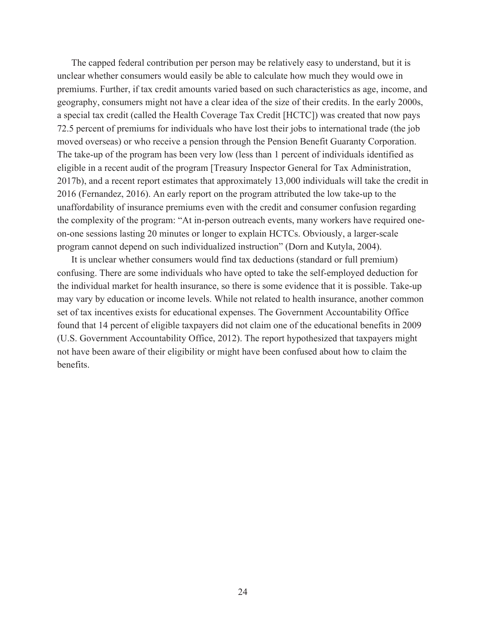The capped federal contribution per person may be relatively easy to understand, but it is unclear whether consumers would easily be able to calculate how much they would owe in premiums. Further, if tax credit amounts varied based on such characteristics as age, income, and geography, consumers might not have a clear idea of the size of their credits. In the early 2000s, a special tax credit (called the Health Coverage Tax Credit [HCTC]) was created that now pays 72.5 percent of premiums for individuals who have lost their jobs to international trade (the job moved overseas) or who receive a pension through the Pension Benefit Guaranty Corporation. The take-up of the program has been very low (less than 1 percent of individuals identified as eligible in a recent audit of the program [Treasury Inspector General for Tax Administration, 2017b), and a recent report estimates that approximately 13,000 individuals will take the credit in 2016 (Fernandez, 2016). An early report on the program attributed the low take-up to the unaffordability of insurance premiums even with the credit and consumer confusion regarding the complexity of the program: "At in-person outreach events, many workers have required oneon-one sessions lasting 20 minutes or longer to explain HCTCs. Obviously, a larger-scale program cannot depend on such individualized instruction" (Dorn and Kutyla, 2004).

It is unclear whether consumers would find tax deductions (standard or full premium) confusing. There are some individuals who have opted to take the self-employed deduction for the individual market for health insurance, so there is some evidence that it is possible. Take-up may vary by education or income levels. While not related to health insurance, another common set of tax incentives exists for educational expenses. The Government Accountability Office found that 14 percent of eligible taxpayers did not claim one of the educational benefits in 2009 (U.S. Government Accountability Office, 2012). The report hypothesized that taxpayers might not have been aware of their eligibility or might have been confused about how to claim the benefits.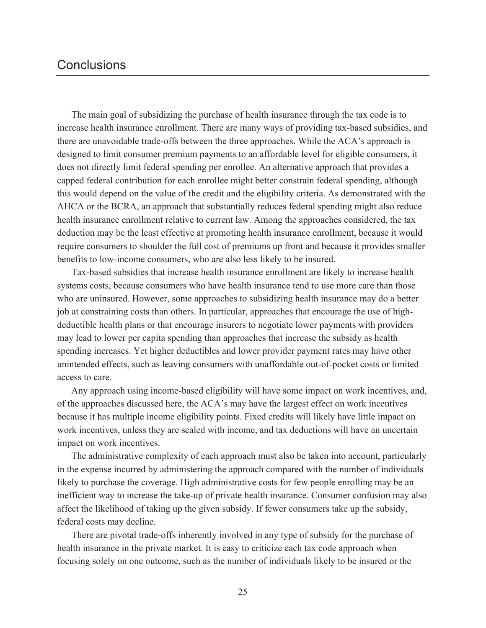# **Conclusions**

The main goal of subsidizing the purchase of health insurance through the tax code is to increase health insurance enrollment. There are many ways of providing tax-based subsidies, and there are unavoidable trade-offs between the three approaches. While the ACA's approach is designed to limit consumer premium payments to an affordable level for eligible consumers, it does not directly limit federal spending per enrollee. An alternative approach that provides a capped federal contribution for each enrollee might better constrain federal spending, although this would depend on the value of the credit and the eligibility criteria. As demonstrated with the AHCA or the BCRA, an approach that substantially reduces federal spending might also reduce health insurance enrollment relative to current law. Among the approaches considered, the tax deduction may be the least effective at promoting health insurance enrollment, because it would require consumers to shoulder the full cost of premiums up front and because it provides smaller benefits to low-income consumers, who are also less likely to be insured.

Tax-based subsidies that increase health insurance enrollment are likely to increase health systems costs, because consumers who have health insurance tend to use more care than those who are uninsured. However, some approaches to subsidizing health insurance may do a better job at constraining costs than others. In particular, approaches that encourage the use of highdeductible health plans or that encourage insurers to negotiate lower payments with providers may lead to lower per capita spending than approaches that increase the subsidy as health spending increases. Yet higher deductibles and lower provider payment rates may have other unintended effects, such as leaving consumers with unaffordable out-of-pocket costs or limited access to care.

Any approach using income-based eligibility will have some impact on work incentives, and, of the approaches discussed here, the ACA's may have the largest effect on work incentives because it has multiple income eligibility points. Fixed credits will likely have little impact on work incentives, unless they are scaled with income, and tax deductions will have an uncertain impact on work incentives.

The administrative complexity of each approach must also be taken into account, particularly in the expense incurred by administering the approach compared with the number of individuals likely to purchase the coverage. High administrative costs for few people enrolling may be an inefficient way to increase the take-up of private health insurance. Consumer confusion may also affect the likelihood of taking up the given subsidy. If fewer consumers take up the subsidy, federal costs may decline.

There are pivotal trade-offs inherently involved in any type of subsidy for the purchase of health insurance in the private market. It is easy to criticize each tax code approach when focusing solely on one outcome, such as the number of individuals likely to be insured or the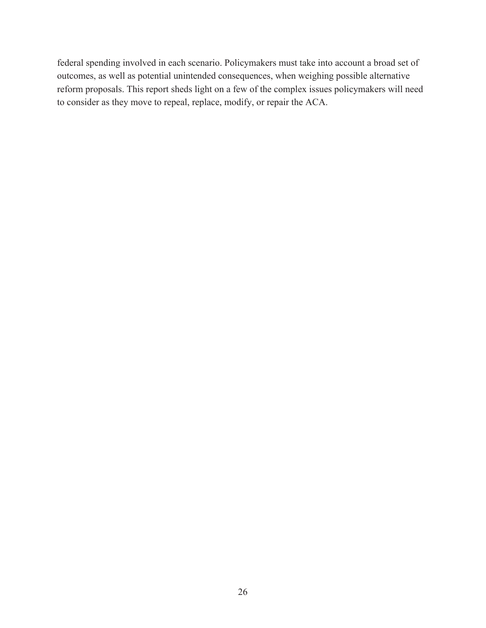federal spending involved in each scenario. Policymakers must take into account a broad set of outcomes, as well as potential unintended consequences, when weighing possible alternative reform proposals. This report sheds light on a few of the complex issues policymakers will need to consider as they move to repeal, replace, modify, or repair the ACA.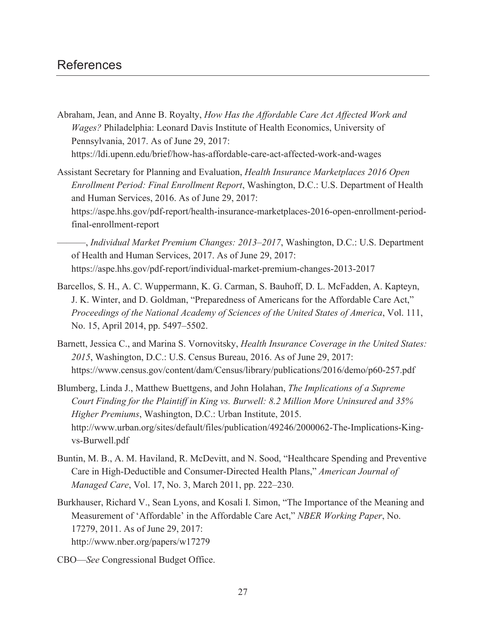- Abraham, Jean, and Anne B. Royalty, *How Has the Affordable Care Act Affected Work and Wages?* Philadelphia: Leonard Davis Institute of Health Economics, University of Pennsylvania, 2017. As of June 29, 2017: <https://ldi.upenn.edu/brief/how-has-affordable-care-act-affected-work-and-wages>
- Assistant Secretary for Planning and Evaluation, *Health Insurance Marketplaces 2016 Open Enrollment Period: Final Enrollment Report*, Washington, D.C.: U.S. Department of Health and Human Services, 2016. As of June 29, 2017: [https://aspe.hhs.gov/pdf-report/health-insurance-marketplaces-2016-open-enrollment-period](https://aspe.hhs.gov/pdf-report/health-insurance-marketplaces-2016-open-enrollment-period-final-enrollment-report)final-enrollment-report

———, *Individual Market Premium Changes: 2013–2017*, Washington, D.C.: U.S. Department of Health and Human Services, 2017. As of June 29, 2017: <https://aspe.hhs.gov/pdf-report/individual-market-premium-changes-2013-2017>

- Barcellos, S. H., A. C. Wuppermann, K. G. Carman, S. Bauhoff, D. L. McFadden, A. Kapteyn, J. K. Winter, and D. Goldman, "Preparedness of Americans for the Affordable Care Act," *Proceedings of the National Academy of Sciences of the United States of America*, Vol. 111, No. 15, April 2014, pp. 5497–5502.
- Barnett, Jessica C., and Marina S. Vornovitsky, *Health Insurance Coverage in the United States: 2015*, Washington, D.C.: U.S. Census Bureau, 2016. As of June 29, 2017: <https://www.census.gov/content/dam/Census/library/publications/2016/demo/p60-257.pdf>
- Blumberg, Linda J., Matthew Buettgens, and John Holahan, *The Implications of a Supreme Court Finding for the Plaintiff in King vs. Burwell: 8.2 Million More Uninsured and 35% Higher Premiums*, Washington, D.C.: Urban Institute, 2015. [http://www.urban.org/sites/default/files/publication/49246/2000062-The-Implications-King](http://www.urban.org/sites/default/files/publication/49246/2000062-The-Implications-King-vs-Burwell.pdf)vs-Burwell.pdf
- Buntin, M. B., A. M. Haviland, R. McDevitt, and N. Sood, "Healthcare Spending and Preventive Care in High-Deductible and Consumer-Directed Health Plans," *American Journal of Managed Care*, Vol. 17, No. 3, March 2011, pp. 222–230.
- Burkhauser, Richard V., Sean Lyons, and Kosali I. Simon, "The Importance of the Meaning and Measurement of 'Affordable' in the Affordable Care Act," *NBER Working Paper*, No. 17279, 2011. As of June 29, 2017: <http://www.nber.org/papers/w17279>
- CBO—*See* Congressional Budget Office.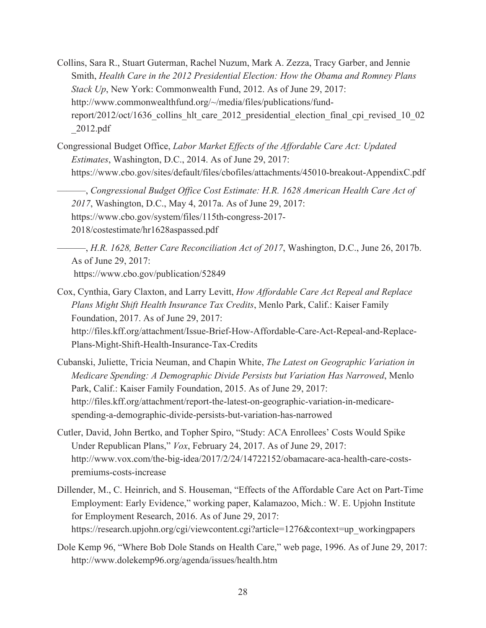- Collins, Sara R., Stuart Guterman, Rachel Nuzum, Mark A. Zezza, Tracy Garber, and Jennie Smith, *Health Care in the 2012 Presidential Election: How the Obama and Romney Plans Stack Up*, New York: Commonwealth Fund, 2012. As of June 29, 2017: http://www.commonwealthfund.org/~/media/files/publications/fund[report/2012/oct/1636\\_collins\\_hlt\\_care\\_2012\\_presidential\\_election\\_final\\_cpi\\_revised\\_10\\_02](http://www.commonwealthfund.org/~/media/files/publications/fund-report/2012/oct/1636_collins_hlt_care_2012_presidential_election_final_cpi_revised_10_02_2012.pdf) \_2012.pdf
- Congressional Budget Office, *Labor Market Effects of the Affordable Care Act: Updated Estimates*, Washington, D.C., 2014. As of June 29, 2017: <https://www.cbo.gov/sites/default/files/cbofiles/attachments/45010-breakout-AppendixC.pdf>

———, *Congressional Budget Office Cost Estimate: H.R. 1628 American Health Care Act of 2017*, Washington, D.C., May 4, 2017a. As of June 29, 2017: [https://www.cbo.gov/system/files/115th-congress-2017-](https://www.cbo.gov/system/files/115th-congress-2017-2018/costestimate/hr1628aspassed.pdf) 2018/costestimate/hr1628aspassed.pdf

- ———, *H.R. 1628, Better Care Reconciliation Act of 2017*, Washington, D.C., June 26, 2017b. As of June 29, 2017: <https://www.cbo.gov/publication/52849>
- Cox, Cynthia, Gary Claxton, and Larry Levitt, *How Affordable Care Act Repeal and Replace Plans Might Shift Health Insurance Tax Credits*, Menlo Park, Calif.: Kaiser Family Foundation, 2017. As of June 29, 2017: [http://files.kff.org/attachment/Issue-Brief-How-Affordable-Care-Act-Repeal-and-Replace-](http://files.kff.org/attachment/Issue-Brief-How-Affordable-Care-Act-Repeal-and-Replace-Plans-Might-Shift-Health-Insurance-Tax-Credits)Plans-Might-Shift-Health-Insurance-Tax-Credits
- Cubanski, Juliette, Tricia Neuman, and Chapin White, *The Latest on Geographic Variation in Medicare Spending: A Demographic Divide Persists but Variation Has Narrowed*, Menlo Park, Calif.: Kaiser Family Foundation, 2015. As of June 29, 2017: [http://files.kff.org/attachment/report-the-latest-on-geographic-variation-in-medicare](http://files.kff.org/attachment/report-the-latest-on-geographic-variation-in-medicare-spending-a-demographic-divide-persists-but-variation-has-narrowed)spending-a-demographic-divide-persists-but-variation-has-narrowed
- Cutler, David, John Bertko, and Topher Spiro, "Study: ACA Enrollees' Costs Would Spike Under Republican Plans," *Vox*, February 24, 2017. As of June 29, 2017: [http://www.vox.com/the-big-idea/2017/2/24/14722152/obamacare-aca-health-care-costs](http://www.vox.com/the-big-idea/2017/2/24/14722152/obamacare-aca-health-care-costs-premiums-costs-increase)premiums-costs-increase
- Dillender, M., C. Heinrich, and S. Houseman, "Effects of the Affordable Care Act on Part-Time Employment: Early Evidence," working paper, Kalamazoo, Mich.: W. E. Upjohn Institute for Employment Research, 2016. As of June 29, 2017: [https://research.upjohn.org/cgi/viewcontent.cgi?article=1276&context=up\\_workingpapers](https://research.upjohn.org/cgi/viewcontent.cgi?article=1276&context=up_workingpapers)
- Dole Kemp 96, "Where Bob Dole Stands on Health Care," web page, 1996. As of June 29, 2017: <http://www.dolekemp96.org/agenda/issues/health.htm>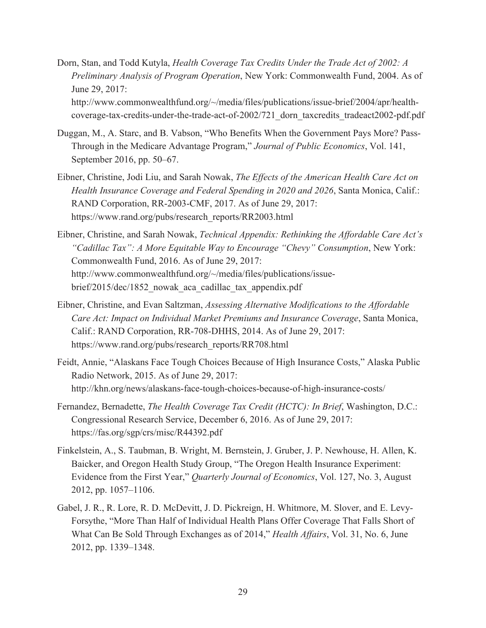- Dorn, Stan, and Todd Kutyla, *Health Coverage Tax Credits Under the Trade Act of 2002: A Preliminary Analysis of Program Operation*, New York: Commonwealth Fund, 2004. As of June 29, 2017: http://www.commonwealthfund.org/~/media/files/publications/issue-brief/2004/apr/health[coverage-tax-credits-under-the-trade-act-of-2002/721\\_dorn\\_taxcredits\\_tradeact2002-pdf.pdf](http://www.commonwealthfund.org/~/media/files/publications/issue-brief/2004/apr/health-coverage-tax-credits-under-the-trade-act-of-2002/721_dorn_taxcredits_tradeact2002-pdf.pdf)
- Duggan, M., A. Starc, and B. Vabson, "Who Benefits When the Government Pays More? Pass-Through in the Medicare Advantage Program," *Journal of Public Economics*, Vol. 141, September 2016, pp. 50–67.
- Eibner, Christine, Jodi Liu, and Sarah Nowak, *The Effects of the American Health Care Act on Health Insurance Coverage and Federal Spending in 2020 and 2026*, Santa Monica, Calif.: RAND Corporation, RR-2003-CMF, 2017. As of June 29, 2017: [https://www.rand.org/pubs/research\\_reports/RR2003.html](https://www.rand.org/pubs/research_reports/RR2003.html)
- Eibner, Christine, and Sarah Nowak, *Technical Appendix: Rethinking the Affordable Care Act's "Cadillac Tax": A More Equitable Way to Encourage "Chevy" Consumption*, New York: Commonwealth Fund, 2016. As of June 29, 2017: [http://www.commonwealthfund.org/~/media/files/publications/issue](http://www.commonwealthfund.org/~/media/files/publications/issue-brief/2015/dec/1852_nowak_aca_cadillac_tax_appendix.pdf)brief/2015/dec/1852 nowak aca cadillac tax appendix.pdf
- Eibner, Christine, and Evan Saltzman, *Assessing Alternative Modifications to the Affordable Care Act: Impact on Individual Market Premiums and Insurance Coverage*, Santa Monica, Calif.: RAND Corporation, RR-708-DHHS, 2014. As of June 29, 2017: [https://www.rand.org/pubs/research\\_reports/RR708.html](https://www.rand.org/pubs/research_reports/RR708.html)
- Feidt, Annie, "Alaskans Face Tough Choices Because of High Insurance Costs," Alaska Public Radio Network, 2015. As of June 29, 2017: <http://khn.org/news/alaskans-face-tough-choices-because-of-high-insurance-costs/>
- Fernandez, Bernadette, *The Health Coverage Tax Credit (HCTC): In Brief*, Washington, D.C.: Congressional Research Service, December 6, 2016. As of June 29, 2017: <https://fas.org/sgp/crs/misc/R44392.pdf>
- Finkelstein, A., S. Taubman, B. Wright, M. Bernstein, J. Gruber, J. P. Newhouse, H. Allen, K. Baicker, and Oregon Health Study Group, "The Oregon Health Insurance Experiment: Evidence from the First Year," *Quarterly Journal of Economics*, Vol. 127, No. 3, August 2012, pp. 1057–1106.
- Gabel, J. R., R. Lore, R. D. McDevitt, J. D. Pickreign, H. Whitmore, M. Slover, and E. Levy-Forsythe, "More Than Half of Individual Health Plans Offer Coverage That Falls Short of What Can Be Sold Through Exchanges as of 2014," *Health Affairs*, Vol. 31, No. 6, June 2012, pp. 1339–1348.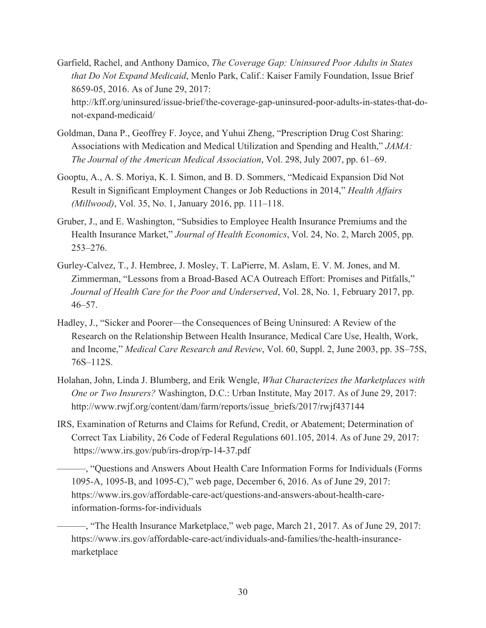- Garfield, Rachel, and Anthony Damico, *The Coverage Gap: Uninsured Poor Adults in States that Do Not Expand Medicaid*, Menlo Park, Calif.: Kaiser Family Foundation, Issue Brief 8659-05, 2016. As of June 29, 2017: [http://kff.org/uninsured/issue-brief/the-coverage-gap-uninsured-poor-adults-in-states-that-do](http://kff.org/uninsured/issue-brief/the-coverage-gap-uninsured-poor-adults-in-states-that-do-not-expand-medicaid/)not-expand-medicaid/
- Goldman, Dana P., Geoffrey F. Joyce, and Yuhui Zheng, "Prescription Drug Cost Sharing: Associations with Medication and Medical Utilization and Spending and Health," *JAMA: The Journal of the American Medical Association*, Vol. 298, July 2007, pp. 61–69.
- Gooptu, A., A. S. Moriya, K. I. Simon, and B. D. Sommers, "Medicaid Expansion Did Not Result in Significant Employment Changes or Job Reductions in 2014," *Health Affairs (Millwood)*, Vol. 35, No. 1, January 2016, pp. 111–118.
- Gruber, J., and E. Washington, "Subsidies to Employee Health Insurance Premiums and the Health Insurance Market," *Journal of Health Economics*, Vol. 24, No. 2, March 2005, pp. 253–276.
- Gurley-Calvez, T., J. Hembree, J. Mosley, T. LaPierre, M. Aslam, E. V. M. Jones, and M. Zimmerman, "Lessons from a Broad-Based ACA Outreach Effort: Promises and Pitfalls," *Journal of Health Care for the Poor and Underserved*, Vol. 28, No. 1, February 2017, pp. 46–57.
- Hadley, J., "Sicker and Poorer—the Consequences of Being Uninsured: A Review of the Research on the Relationship Between Health Insurance, Medical Care Use, Health, Work, and Income," *Medical Care Research and Review*, Vol. 60, Suppl. 2, June 2003, pp. 3S–75S, 76S–112S.
- Holahan, John, Linda J. Blumberg, and Erik Wengle, *What Characterizes the Marketplaces with One or Two Insurers?* Washington, D.C.: Urban Institute, May 2017. As of June 29, 2017: [http://www.rwjf.org/content/dam/farm/reports/issue\\_briefs/2017/rwjf437144](http://www.rwjf.org/content/dam/farm/reports/issue_briefs/2017/rwjf437144)
- IRS, Examination of Returns and Claims for Refund, Credit, or Abatement; Determination of Correct Tax Liability, 26 Code of Federal Regulations 601.105, 2014. As of June 29, 2017: <https://www.irs.gov/pub/irs-drop/rp-14-37.pdf>
	- ———, "Questions and Answers About Health Care Information Forms for Individuals (Forms 1095-A, 1095-B, and 1095-C)," web page, December 6, 2016. As of June 29, 2017: [https://www.irs.gov/affordable-care-act/questions-and-answers-about-health-care](https://www.irs.gov/affordable-care-act/questions-and-answers-about-health-care-information-forms-for-individuals)information-forms-for-individuals
	- ———, "The Health Insurance Marketplace," web page, March 21, 2017. As of June 29, 2017: [https://www.irs.gov/affordable-care-act/individuals-and-families/the-health-insurance](https://www.irs.gov/affordable-care-act/individuals-and-families/the-health-insurance-marketplace)marketplace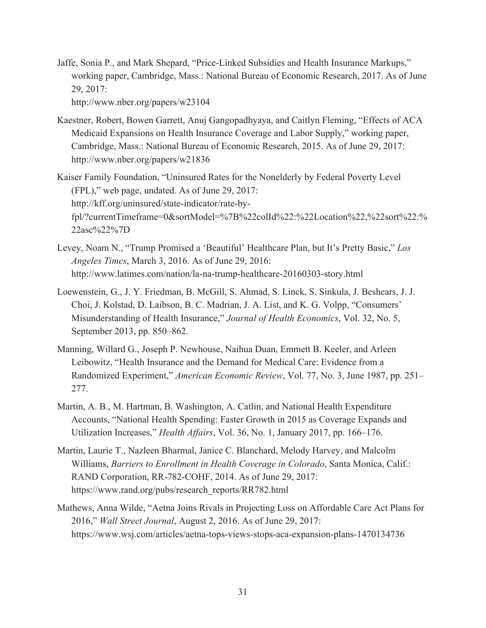Jaffe, Sonia P., and Mark Shepard, "Price-Linked Subsidies and Health Insurance Markups," working paper, Cambridge, Mass.: National Bureau of Economic Research, 2017. As of June 29, 2017:

<http://www.nber.org/papers/w23104>

- Kaestner, Robert, Bowen Garrett, Anuj Gangopadhyaya, and Caitlyn Fleming, "Effects of ACA Medicaid Expansions on Health Insurance Coverage and Labor Supply," working paper, Cambridge, Mass.: National Bureau of Economic Research, 2015. As of June 29, 2017: <http://www.nber.org/papers/w21836>
- Kaiser Family Foundation, "Uninsured Rates for the Nonelderly by Federal Poverty Level (FPL)," web page, undated. As of June 29, 2017: http://kff.org/uninsured/state-indicator/rate-by[fpl/?currentTimeframe=0&sortModel=%7B%22colId%22:%22Location%22,%22sort%22:%](http://kff.org/uninsured/state-indicator/rate-by-fpl/?currentTimeframe=0&sortModel=%7B%22colId%22:%22Location%22,%22sort%22:%22asc%22%7D) 22asc%22%7D
- Levey, Noam N., "Trump Promised a 'Beautiful' Healthcare Plan, but It's Pretty Basic," *Los Angeles Times*, March 3, 2016. As of June 29, 2016: <http://www.latimes.com/nation/la-na-trump-healthcare-20160303-story.html>
- Loewenstein, G., J. Y. Friedman, B. McGill, S. Ahmad, S. Linck, S. Sinkula, J. Beshears, J. J. Choi, J. Kolstad, D. Laibson, B. C. Madrian, J. A. List, and K. G. Volpp, "Consumers' Misunderstanding of Health Insurance," *Journal of Health Economics*, Vol. 32, No. 5, September 2013, pp. 850–862.
- Manning, Willard G., Joseph P. Newhouse, Naihua Duan, Emmett B. Keeler, and Arleen Leibowitz, "Health Insurance and the Demand for Medical Care: Evidence from a Randomized Experiment," *American Economic Review*, Vol. 77, No. 3, June 1987, pp. 251– 277.
- Martin, A. B., M. Hartman, B. Washington, A. Catlin, and National Health Expenditure Accounts, "National Health Spending: Faster Growth in 2015 as Coverage Expands and Utilization Increases," *Health Affairs*, Vol. 36, No. 1, January 2017, pp. 166–176.
- Martin, Laurie T., Nazleen Bharmal, Janice C. Blanchard, Melody Harvey, and Malcolm Williams, *Barriers to Enrollment in Health Coverage in Colorado*, Santa Monica, Calif.: RAND Corporation, RR-782-COHF, 2014. As of June 29, 2017: [https://www.rand.org/pubs/research\\_reports/RR782.html](https://www.rand.org/pubs/research_reports/RR782.html)
- Mathews, Anna Wilde, "Aetna Joins Rivals in Projecting Loss on Affordable Care Act Plans for 2016," *Wall Street Journal*, August 2, 2016. As of June 29, 2017: <https://www.wsj.com/articles/aetna-tops-views-stops-aca-expansion-plans-1470134736>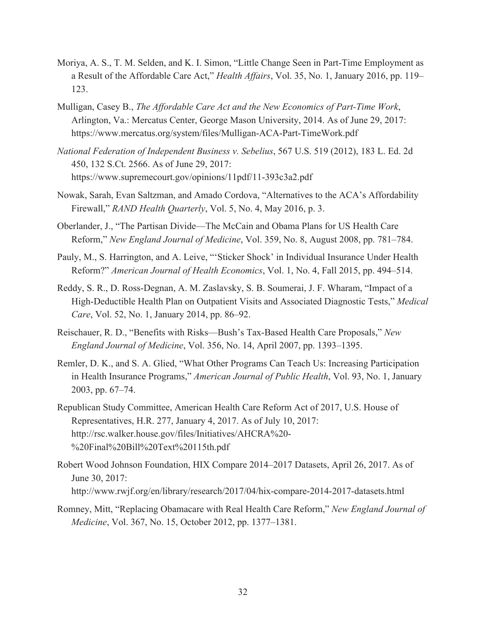- Moriya, A. S., T. M. Selden, and K. I. Simon, "Little Change Seen in Part-Time Employment as a Result of the Affordable Care Act," *Health Affairs*, Vol. 35, No. 1, January 2016, pp. 119– 123.
- Mulligan, Casey B., *The Affordable Care Act and the New Economics of Part-Time Work*, Arlington, Va.: Mercatus Center, George Mason University, 2014. As of June 29, 2017: <https://www.mercatus.org/system/files/Mulligan-ACA-Part-TimeWork.pdf>
- *National Federation of Independent Business v. Sebelius*, 567 U.S. 519 (2012), 183 L. Ed. 2d 450, 132 S.Ct. 2566. As of June 29, 2017: <https://www.supremecourt.gov/opinions/11pdf/11-393c3a2.pdf>
- Nowak, Sarah, Evan Saltzman, and Amado Cordova, "Alternatives to the ACA's Affordability Firewall," *RAND Health Quarterly*, Vol. 5, No. 4, May 2016, p. 3.
- Oberlander, J., "The Partisan Divide—The McCain and Obama Plans for US Health Care Reform," *New England Journal of Medicine*, Vol. 359, No. 8, August 2008, pp. 781–784.
- Pauly, M., S. Harrington, and A. Leive, "'Sticker Shock' in Individual Insurance Under Health Reform?" *American Journal of Health Economics*, Vol. 1, No. 4, Fall 2015, pp. 494–514.
- Reddy, S. R., D. Ross-Degnan, A. M. Zaslavsky, S. B. Soumerai, J. F. Wharam, "Impact of a High-Deductible Health Plan on Outpatient Visits and Associated Diagnostic Tests," *Medical Care*, Vol. 52, No. 1, January 2014, pp. 86–92.
- Reischauer, R. D., "Benefits with Risks—Bush's Tax-Based Health Care Proposals," *New England Journal of Medicine*, Vol. 356, No. 14, April 2007, pp. 1393–1395.
- Remler, D. K., and S. A. Glied, "What Other Programs Can Teach Us: Increasing Participation in Health Insurance Programs," *American Journal of Public Health*, Vol. 93, No. 1, January 2003, pp. 67–74.
- Republican Study Committee, American Health Care Reform Act of 2017, U.S. House of Representatives, H.R. 277, January 4, 2017. As of July 10, 2017: [http://rsc.walker.house.gov/files/Initiatives/AHCRA%20-](http://rsc.walker.house.gov/files/Initiatives/AHCRA%20-%20Final%20Bill%20Text%20115th.pdf) %20Final%20Bill%20Text%20115th.pdf
- Robert Wood Johnson Foundation, HIX Compare 2014–2017 Datasets, April 26, 2017. As of June 30, 2017: <http://www.rwjf.org/en/library/research/2017/04/hix-compare-2014-2017-datasets.html>
- Romney, Mitt, "Replacing Obamacare with Real Health Care Reform," *New England Journal of Medicine*, Vol. 367, No. 15, October 2012, pp. 1377–1381.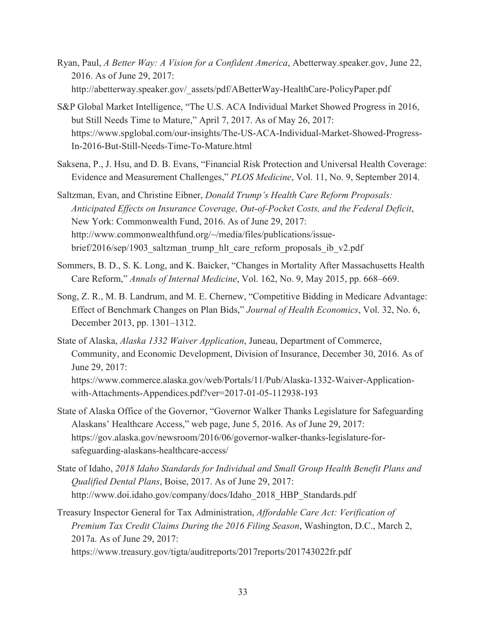- Ryan, Paul, *A Better Way: A Vision for a Confident America*, Abetterway.speaker.gov, June 22, 2016. As of June 29, 2017: [http://abetterway.speaker.gov/\\_assets/pdf/ABetterWay-HealthCare-PolicyPaper.pdf](http://abetterway.speaker.gov/_assets/pdf/ABetterWay-HealthCare-PolicyPaper.pdf)
- S&P Global Market Intelligence, "The U.S. ACA Individual Market Showed Progress in 2016, but Still Needs Time to Mature," April 7, 2017. As of May 26, 2017: [https://www.spglobal.com/our-insights/The-US-ACA-Individual-Market-Showed-Progress-](https://www.spglobal.com/our-insights/The-US-ACA-Individual-Market-Showed-Progress-In-2016-But-Still-Needs-Time-To-Mature.html)In-2016-But-Still-Needs-Time-To-Mature.html
- Saksena, P., J. Hsu, and D. B. Evans, "Financial Risk Protection and Universal Health Coverage: Evidence and Measurement Challenges," *PLOS Medicine*, Vol. 11, No. 9, September 2014.
- Saltzman, Evan, and Christine Eibner, *Donald Trump's Health Care Reform Proposals: Anticipated Effects on Insurance Coverage, Out-of-Pocket Costs, and the Federal Deficit*, New York: Commonwealth Fund, 2016. As of June 29, 2017: http://www.commonwealthfund.org/~/media/files/publications/issuebrief/2016/sep/1903\_saltzman\_trump\_hlt\_care\_reform\_proposals\_ib\_v2.pdf
- Sommers, B. D., S. K. Long, and K. Baicker, "Changes in Mortality After Massachusetts Health Care Reform," *Annals of Internal Medicine*, Vol. 162, No. 9, May 2015, pp. 668–669.
- Song, Z. R., M. B. Landrum, and M. E. Chernew, "Competitive Bidding in Medicare Advantage: Effect of Benchmark Changes on Plan Bids," *Journal of Health Economics*, Vol. 32, No. 6, December 2013, pp. 1301–1312.
- State of Alaska, *Alaska 1332 Waiver Application*, Juneau, Department of Commerce, Community, and Economic Development, Division of Insurance, December 30, 2016. As of June 29, 2017: [https://www.commerce.alaska.gov/web/Portals/11/Pub/Alaska-1332-Waiver-Application](https://www.commerce.alaska.gov/web/Portals/11/Pub/Alaska-1332-Waiver-Application-with-Attachments-Appendices.pdf?ver=2017-01-05-112938-193)with-Attachments-Appendices.pdf?ver=2017-01-05-112938-193
- State of Alaska Office of the Governor, "Governor Walker Thanks Legislature for Safeguarding Alaskans' Healthcare Access," web page, June 5, 2016. As of June 29, 2017: [https://gov.alaska.gov/newsroom/2016/06/governor-walker-thanks-legislature-for](https://gov.alaska.gov/newsroom/2016/06/governor-walker-thanks-legislature-for-safeguarding-alaskans-healthcare-access/)safeguarding-alaskans-healthcare-access/
- State of Idaho, *2018 Idaho Standards for Individual and Small Group Health Benefit Plans and Qualified Dental Plans*, Boise, 2017. As of June 29, 2017: [http://www.doi.idaho.gov/company/docs/Idaho\\_2018\\_HBP\\_Standards.pdf](http://www.doi.idaho.gov/company/docs/Idaho_2018_HBP_Standards.pdf)
- Treasury Inspector General for Tax Administration, *Affordable Care Act: Verification of Premium Tax Credit Claims During the 2016 Filing Season*, Washington, D.C., March 2, 2017a. As of June 29, 2017:

<https://www.treasury.gov/tigta/auditreports/2017reports/201743022fr.pdf>